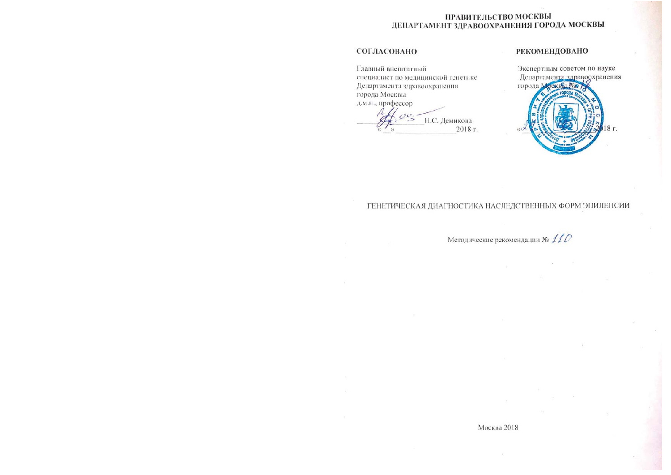# ПРАВИТЕЛЬСТВО МОСКВЫ ДЕПАРТАМЕНТ ЗДРАВООХРАНЕНИЯ ГОРОДА МОСКВЫ

# СОГЛАСОВАНО

Главный внештатный специалист по медицинской генетике Департамента здравоохранения города Москвы д.м.н., профессор

 $00 -$ Н.С. Демикова 2018 г.

## **РЕКОМЕНДОВАНО**



# ГЕНЕТИЧЕСКАЯ ДИАГНОСТИКА НАСЛЕДСТВЕННЫХ ФОРМ ЭПИЛЕПСИИ

Методические рекомендации № 110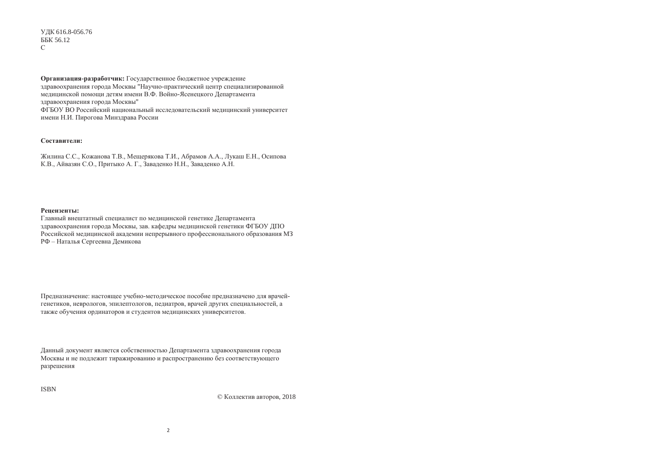ɍȾɄ 616.8-056.76 ББК 56.12  $\Gamma$ 

**Организация-разработчик:** Государственное бюджетное учреждение здравоохранения города Москвы "Научно-практический центр специализированной мелицинской помощи летям имени В.Ф. Войно-Ясенецкого Лепартамента здравоохранения города Москвы" ФГБОУ ВО Российский национальный исследовательский медицинский университет имени Н.И. Пирогова Минздрава России

### **Составители:**

Жилина С.С., Кожанова Т.В., Мещерякова Т.И., Абрамов А.А., Лукаш Е.Н., Осипова К.В., Айвазян С.О., Притыко А. Г., Заваденко Н.Н., Заваденко А.Н.

### **Ренензенты**•

Главный внештатный специалист по медицинской генетике Департамента здравоохранения города Москвы, зав. кафедры медицинской генетики ФГБОУ ДПО Российской медицинской академии непрерывного профессионального образования МЗ РФ – Наталья Сергеевна Демикова

Предназначение: настоящее учебно-методическое пособие предназначено для врачейгенетиков, неврологов, эпилептологов, педиатров, врачей других специальностей, а также обучения ординаторов и студентов медицинских университетов.

Данный документ является собственностью Департамента здравоохранения города Москвы и не подлежит тиражированию и распространению без соответствующего разрешения

ISBN

© Коллектив авторов, 2018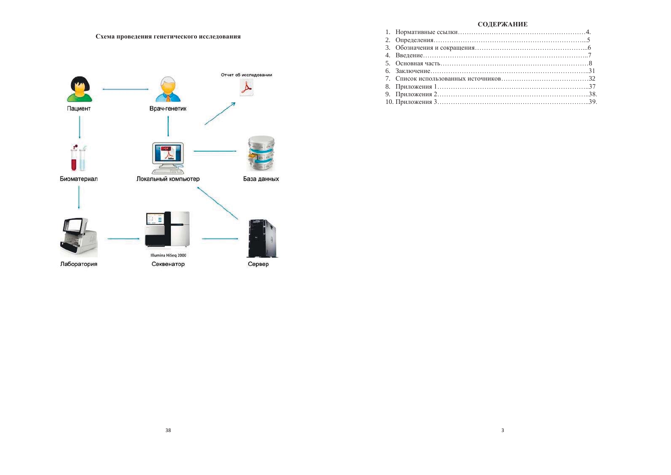Схема проведения генетического исследования



## СОДЕРЖАНИЕ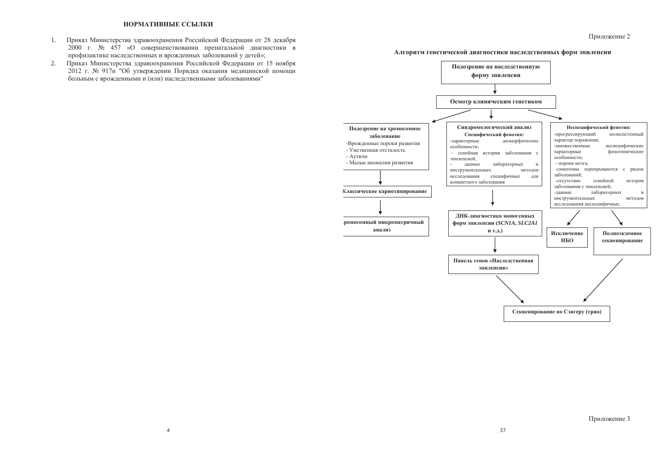- 1. Приказ Министерства здравоохранения Российской Федерации от 28 декабря  $2000$  г. № 457 «О совершенствовании пренатальной диагностики в профилактике наслелственных и врожленных заболеваний у летей»:
- 2. Приказ Министерства здравоохранения Российской Федерации от 15 ноября 2012 г. № 917н "Об утверждении Порядка оказания медицинской помощи больным с врожденными и (или) наследственными заболеваниями"

### **Алгоритм генетической диагностики наследственных форм эпилепсии**

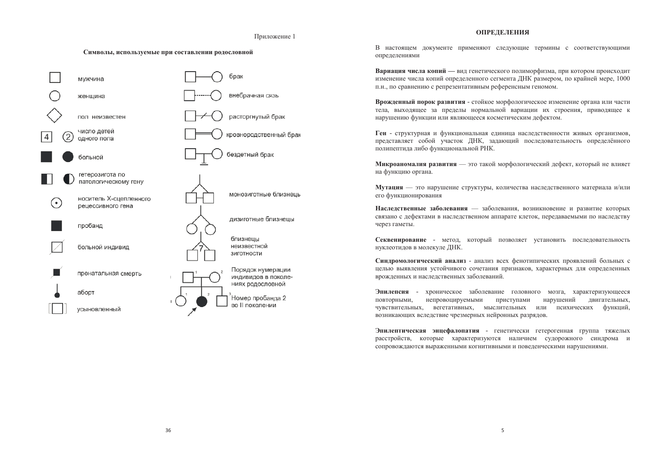### Приложение 1

#### Символы, используемые при составлении родословной



### **ОПРЕЛЕЛЕНИЯ**

В настоящем локументе применяют следующие термины с соответствующими определениями

Вариация числа копий — вид генетического полиморфизма, при котором происходит изменение числа копий опрелеленного сегмента ЛНК размером, по крайней мере, 1000 п.н., по сравнению с репрезентативным референсным геномом.

Врожденный порок развития - стойкое морфологическое изменение органа или части тела, выхоляшее за пределы нормальной вариации их строения, приводящее к нарушению функции или являющееся косметическим дефектом.

Ген - структурная и функциональная единица наследственности живых организмов, представляет собой участок ДНК, задающий последовательность определённого полипептида либо функциональной РНК.

Микроаномалия развития — это такой морфологический дефект, который не влияет на функцию органа.

**Мутация** — это нарушение структуры, количества наследственного материала и/или его функционирования

Наследственные заболевания — заболевания, возникновение и развитие которых связано с дефектами в наследственном аппарате клеток, передаваемыми по наследству через гаметы.

Секвенирование - метод, который позволяет установить последовательность нуклеотидов в молекуле ДНК.

Синдромологический анализ - анализ всех фенотипических проявлений больных с целью выявления устойчивого сочетания признаков, характерных для определенных врожденных и наследственных заболеваний.

Эпилепсия - хроническое заболевание головного мозга, характеризующееся повторными, непровоцируемыми приступами нарушений двигательных, чувствительных, вегетативных, мыслительных или психических функций, возникающих вследствие чрезмерных нейронных разрядов.

Эпилептическая энцефалопатия - генетически гетерогенная группа тяжелых расстройств, которые характеризуются наличием судорожного синдрома и сопровождаются выраженными когнитивными и поведенческими нарушениями.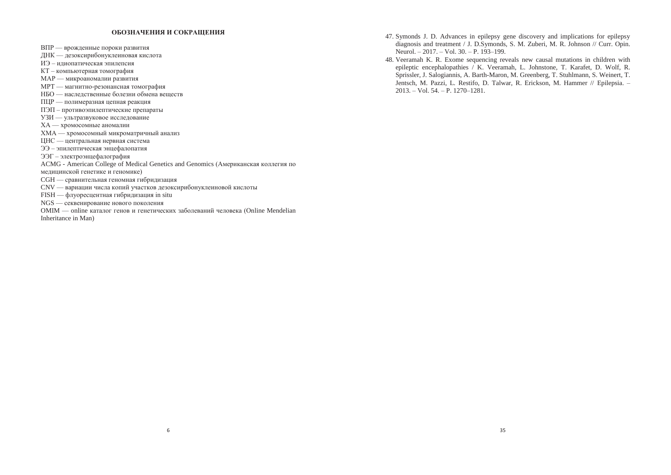### ОБОЗНАЧЕНИЯ И СОКРАЩЕНИЯ

ВПР — врожденные пороки развития

ЛНК — лезоксирибонуклеиновая кислота

ИЭ – илиопатическая эпилепсия

КТ – компьютерная томография

- МАР микроаномалии развития
- МРТ магнитно-резонансная томография
- НБО наслелственные болезни обмена вешеств
- ПЦР полимеразная цепная реакция
- ПЭП противоэпилептические препараты
- УЗИ ультразвуковое исследование
- ХА хромосомные аномалии
- ХМА хромосомный микроматричный анализ
- ЦНС центральная нервная система
- ЭЭ эпилептическая энцефалопатия
- ЭЭГ электроэнцефалография
- ACMG American College of Medical Genetics and Genomics (Американская коллегия по
- медицинской генетике и геномике)
- СGH сравнительная геномная гибридизация
- CNV вариации числа копий участков дезоксирибонуклеиновой кислоты
- FISH флуоресцентная гибридизация in situ
- NGS секвенирование нового поколения
- OMIM online каталог генов и генетических заболеваний человека (Online Mendelian Inheritance in Man)
- 47. Symonds J. D. Advances in epilepsy gene discovery and implications for epilepsy diagnosis and treatment / J. D.Symonds, S. M. Zuberi, M. R. Johnson // Curr. Opin. Neurol. – 2017. – Vol. 30. – P. 193–199.
- 48. Veeramah K. R. Exome sequencing reveals new causal mutations in children with epileptic encephalopathies / K. Veeramah, L. Johnstone, T. Karafet, D. Wolf, R. Sprissler, J. Salogiannis, A. Barth-Maron, M. Greenberg, T. Stuhlmann, S. Weinert, T. Jentsch, M. Pazzi, L. Restifo, D. Talwar, R. Erickson, M. Hammer // Epilepsia. – 2013. – Vol. 54. – P. 1270–1281.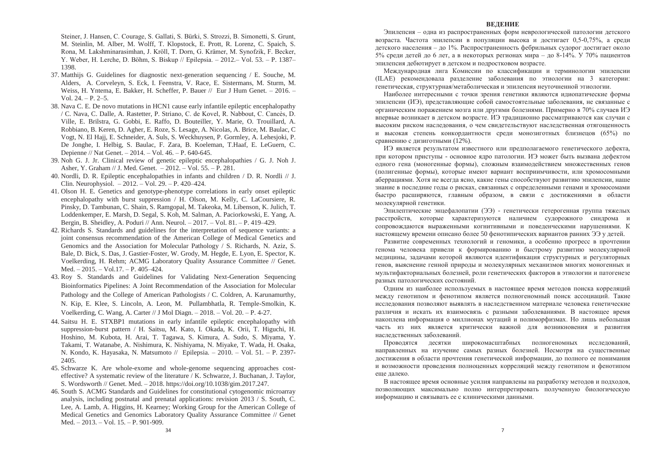Steiner, J. Hansen, C. Courage, S. Gallati, S. Bürki, S. Strozzi, B. Simonetti, S. Grunt, M. Steinlin, M. Alber, M. Wolff, T. Klopstock, E. Prott, R. Lorenz, C. Spaich, S. Rona, M. Lakshminarasimhan, J. Kröll, T. Dorn, G. Krämer, M. Synofzik, F. Becker, Y. Weber, H. Lerche, D. Böhm, S. Biskup // Epilepsia. – 2012.– Vol. 53. – P. 1387– 1398.

- 37. Matthijs G. Guidelines for diagnostic next-generation sequencing / E. Souche, M. Alders, A. Corveleyn, S. Eck, I. Feenstra, V. Race, E. Sistermans, M. Sturm, M. Weiss, H. Yntema, E. Bakker, H. Scheffer, P. Bauer // Eur J Hum Genet. – 2016. – Vol.  $24. - P. 2-5.$
- 38. Nava C. E. De novo mutations in HCN1 cause early infantile epileptic encephalopathy / C. Nava, C. Dalle, A. Rastetter, P. Striano, C. de Kovel, R. Nabbout, C. Cancès, D. Ville, E. Brilstra, G. Gobbi, E. Raffo, D. Bouteiller, Y. Marie, O. Trouillard, A. Robbiano, B. Keren, D. Agher, E. Roze, S. Lesage, A. Nicolas, A. Brice, M. Baulac, C Vogt, N. El Hajj, E. Schneider, A. Suls, S. Weckhuysen, P. Gormley, A. Lehesjoki, P. De Jonghe, I. Helbig, S. Baulac, F. Zara, B. Koeleman, T.Haaf, E. LeGuern, C. Depienne // Nat Genet. – 2014. – Vol. 46. – P. 640-645.
- 39. Noh G. J. Jr. Clinical review of genetic epileptic encephalopathies / G. J. Noh J. Asher, Y. Graham // J. Med. Genet. – 2012. – Vol. 55. – P. 281.
- 40. Nordli, D. R. Epileptic encephalopathies in infants and children / D. R. Nordli // J. Clin. Neurophysiol. – 2012. – Vol. 29. – P. 420–424.
- 41. Olson H. E. Genetics and genotype-phenotype correlations in early onset epileptic encephalopathy with burst suppression / H. Olson, M. Kelly, C. LaCoursiere, R. Pinsky, D. Tambunan, C. Shain, S. Ramgopal, M. Takeoka, M. Libenson, K. Julich, T. Loddenkemper, E. Marsh, D. Segal, S. Koh, M. Salman, A. Paciorkowski, E. Yang, A. Bergin, B. Sheidley, A. Poduri // Ann. Neurol. – 2017. – Vol. 81. – P. 419–429.
- 42. Richards S. Standards and guidelines for the interpretation of sequence variants: a joint consensus recommendation of the American College of Medical Genetics and Genomics and the Association for Molecular Pathology / S. Richards, N. Aziz, S. Bale, D. Bick, S. Das, J. Gastier-Foster, W. Grody, M. Hegde, E. Lyon, E. Spector, K. Voelkerding, H. Rehm; ACMG Laboratory Quality Assurance Committee // Genet. Med. – 2015. – Vol.17. – P. 405–424.
- 43. Roy S. Standards and Guidelines for Validating Next-Generation Sequencing Bioinformatics Pipelines: A Joint Recommendation of the Association for Molecular Pathology and the College of American Pathologists / C. Coldren, A. Karunamurthy, N. Kip, E. Klee, S. Lincoln, A. Leon, M. Pullambhatla, R. Temple-Smolkin, K. Voelkerding, C. Wang, A. Carter // J Mol Diagn. – 2018. – Vol. 20. – P. 4-27.
- 44. Saitsu H. E. STXBP1 mutations in early infantile epileptic encephalopathy with suppression-burst pattern / H. Saitsu, M. Kato, I. Okada, K. Orii, T. Higuchi, H. Hoshino, M. Kubota, H. Arai, T. Tagawa, S. Kimura, A. Sudo, S. Miyama, Y. Takami, T. Watanabe, A. Nishimura, K. Nishiyama, N. Miyake, T. Wada, H. Osaka, N. Kondo, K. Hayasaka, N. Matsumoto // Epilepsia. – 2010. – Vol. 51. – P. 2397- 2405.
- 45. Schwarze K. Are whole-exome and whole-genome sequencing approaches costeffective? A systematic review of the literature / K. Schwarze, J. Buchanan, J. Taylor, S. Wordsworth // Genet. Med. – 2018. https://doi.org/10.1038/gim.2017.247.
- 46. South S. ACMG Standards and Guidelines for constitutional cytogenomic microarray analysis, including postnatal and prenatal applications: revision 2013 / S. South, C. Lee, A. Lamb, A. Higgins, H. Kearney; Working Group for the American College of Medical Genetics and Genomics Laboratory Quality Assurance Committee // Genet Med. – 2013. – Vol. 15. – P. 901-909.

#### **ВЕЛЕНИЕ**

Эпилепсия – одна из распространенных форм неврологической патологии детского возраста. Частота эпилепсии в популяции высока и лостигает 0.5-0.75%, а среди летского населения – до 1%. Распространенность фебрильных судорог достигает около 5% среди детей до 6 лет, а в некоторых регионах мира – до 8-14%. У 70% пациентов эпилепсия дебютирует в детском и подростковом возрасте.

Международная лига Комиссии по классификации и терминологии эпилепсии (ILAE) рекомендовала разделение заболевания по этиологии на 3 категории: генетическая, структурная/метаболическая и эпилепсия неуточненной этиологии.

Наиболее интересными с точки зрения генетики являются илиопатические формы эпилепсии (ИЭ), прелставляющие собой самостоятельные заболевания, не связанные с органическим поражением мозга или другими болезнями. Примерно в 70% случаев ИЭ впервые возникает в детском возрасте. ИЭ традиционно рассматриваются как случаи с высоким риском наследования, о чем свидетельствуют наследственная отягощенность и высокая степень конкордантности среди монозиготных близнецов (65%) по сравнению с дизиготными (12%).

ИЭ является результатом известного или предполагаемого генетического дефекта, при котором приступы - основное ядро патологии. ИЭ может быть вызвана дефектом одного гена (моногенные формы), сложным взаимодействием множественных генов (полигенные формы), которые имеют вариант восприимчивости, или хромосомными аберрациями. Хотя не всегда ясно, какие гены способствуют развитию эпилепсии, наше знание в последние годы о рисках, связанных с определенными генами и хромосомами быстро расширяются, главным образом, в связи с достижениями в области молекулярной генетики.

Эпилептические энцефалопатии (ЭЭ) - генетически гетерогенная группа тяжелых расстройств, которые характеризуются наличием судорожного синдрома и сопровождаются выраженными когнитивными и поведенческими нарушениями. К настоящему времени описано более 50 фенотипических вариантов ранних ЭЭ у детей.

Развитие современных технологий и геномики, а особенно прогресс в прочтении генома человека привели к формированию и быстрому развитию молекулярной медицины, задачами которой являются идентификация структурных и регуляторных генов, выяснение генной природы и молекулярных механизмов многих моногенных и мультифакториальных болезней, роли генетических факторов в этиологии и патогенезе разных патологических состояний.

Одним из наиболее используемых в настоящее время методов поиска корреляций между генотипом и фенотипом является полногеномный поиск ассоциаций. Такие исследования позволяют выявлять в наследственном материале человека генетические различия и искать их взаимосвязь с разными заболеваниями. В настоящее время накоплена информация о миллионах мутаций и полиморфизмах. Но лишь небольшая часть из них является критически важной для возникновения и развития наследственных заболеваний.

Проводятся десятки широкомасштабных полногеномных исследований, направленных на изучение самых разных болезней. Несмотря на существенные достижения в области прочтения генетической информации, до полного ее понимания и возможности проведения полноценных корреляций между генотипом и фенотипом еще далеко.

В настоящее время основные усилия направлены на разработку методов и подходов, позволяющих максимально полно интерпретировать полученную биологическую информацию и связывать ее с клиническими данными.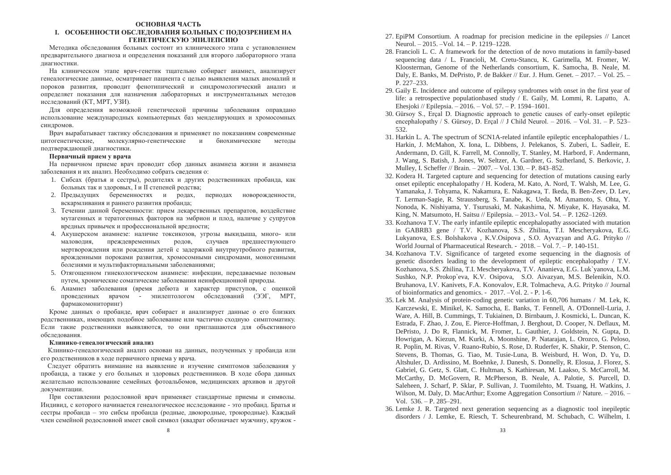### **©СНОВНАЯ ЧАСТЬ И.** ОСОБЕННОСТИ ОБСЛЕЛОВАНИЯ БОЛЬНЫХ С ПОЛОЗРЕНИЕМ НА ГЕНЕТИЧЕСКУЮ ЭПИЛЕПСИЮ

Метолика обслелования больных состоит из клинического этапа с установлением предварительного диагноза и определения показаний для второго лабораторного этапа лиагностики

На клиническом этапе врач-генетик тшательно собирает анамнез, анализирует генеалогические ланные, осматривает пациента с целью выявления малых аномалий и пороков развития, проволит фенотипический и синдромологический анализ и определяет показания для назначения лабораторных и инструментальных методов исслелований (КТ, МРТ, УЗИ).

Для определения возможной генетической причины заболевания оправлано использование международных компьютерных баз менделирующих и хромосомных синдромов.

Врач вырабатывает тактику обслелования и применяет по показаниям современные цитогенетические, молекулярно-генетические и биохимические методы подтверждающей диагностики.

### $\Pi$ ервичный прием у врача

На первичном приеме врач проводит сбор данных анамнеза жизни и анамнеза заболевания и их анализ. Необходимо собрать сведения о:

- 1. Сибсах (братья и сестры), родителях и других родственниках пробанда, как больных так и здоровых, I и II степеней родства;
- 2. Предыдущих беременностях и родах, периодах новорожденности, вскармливания и раннего развития пробанда;
- 3. Течении данной беременности: прием лекарственных препаратов, воздействие мутагенных и тератогенных факторов на эмбрион и плод, наличие у супругов вредных привычек и профессиональной вредности;
- 4. Акушерском анамнезе: наличие токсикозов, угрозы выкидыша, много- или МАЛОВОЛИЯ. ПРЕЖЛЕВРЕМЕННЫХ РОЛОВ. СЛУЧАЕВ ПРЕЛШЕСТВУЮЩЕГО мертворождения или рождения детей с задержкой внутриутробного развития, врожденными пороками развития, хромосомными синдромами, моногенными болезнями и мультифакториальными заболеваниями;
- 5. Отягощенном гинекологическом анамнезе: инфекции, передаваемые половым путем, хронические соматические заболевания неинфекционной природы.
- 6. Анамнез заболевания (время дебюта и характер приступов, с оценкой проведенных врачом - эпилептологом обследований (ЭЭГ, МРТ, фармакомониторинг)

Кроме данных о пробанде, врач собирает и анализирует данные о его близких родственниках, имеющих подобное заболевание или частично сходную симптоматику. Если такие родственники выявляются, то они приглашаются для объективного обследования.

### Клинико-генеалогический анализ

Клинико-генеалогический анализ основан на данных, полученных у пробанда или его родственников в ходе первичного приема у врача.

Следует обратить внимание на выявление и изучение симптомов заболевания у пробанда, а также у его больных и здоровых родственников. В ходе сбора данных желательно использование семейных фотоальбомов, медицинских архивов и другой документации.

При составлении родословной врач применяет стандартные приемы и символы. Индивид, с которого начинается генеалогическое исследование - это пробанд. Братья и сестры пробанда – это сибсы пробанда (родные, двоюродные, троюродные). Каждый член семейной родословной имеет свой символ (квадрат обозначает мужчину, кружок -

- 27. EpiPM Consortium. A roadmap for precision medicine in the epilepsies // Lancet Neurol. – 2015. –Vol. 14. – P. 1219–1228.
- 28. Francioli L. C. A framework for the detection of de novo mutations in family-based sequencing data / L. Francioli, M. Cretu-Stancu, K. Garimella, M. Fromer, W. Kloosterman, Genome of the Netherlands consortium, K. Samocha, B. Neale, M. Daly, E. Banks, M. DePristo, P. de Bakker // Eur. J. Hum. Genet. – 2017. – Vol. 25. – P. 227–233.
- 29. Gaily E. Incidence and outcome of epilepsy syndromes with onset in the first year of life: a retrospective populationbased study / E. Gaily, M. Lommi, R. Lapatto, A. Ehesjoki // Epilepsia. – 2016. – Vol. 57. – P. 1594–1601.
- 30. Gürsoy S., Erçal D. Diagnostic approach to genetic causes of early-onset epileptic encephalopathy / S. Gürsov, D. Ercal // J Child Neurol.  $- 2016$ .  $- Vol. 31$ .  $- P. 523-$ 532.
- 31. Harkin L. A. The spectrum of SCN1A-related infantile epileptic encephalopathies / L. Harkin, J. McMahon, X. Iona, L. Dibbens, J. Pelekanos, S. Zuberi, L. Sadleir, E. Andermann, D. Gill, K. Farrell, M. Connolly, T. Stanley, M. Harbord, F. Andermann, J. Wang, S. Batish, J. Jones, W. Seltzer, A. Gardner, G. Sutherland, S. Berkovic, J. Mulley, I. Scheffer // Brain. – 2007. – Vol. 130. – P. 843–852.
- 32. Kodera H. Targeted capture and sequencing for detection of mutations causing early onset epileptic encephalopathy / H. Kodera, M. Kato, A. Nord, T. Walsh, M. Lee, G. Yamanaka, J. Tohyama, K. Nakamura, E. Nakagawa, T. Ikeda, B. Ben-Zeev, D. Lev, T. Lerman-Sagie, R. Straussberg, S. Tanabe, K. Ueda, M. Amamoto, S. Ohta, Y. Nonoda, K. Nishiyama, Y. Tsurusaki, M. Nakashima, N. Miyake, K. Hayasaka, M. King, N. Matsumoto, H. Saitsu // Epilepsia. – 2013.- Vol. 54. – P. 1262–1269.
- 33. Kozhanova T.V. The early infantile epileptic encephalopathy associated with mutation in GABRB3 gene / T.V. Kozhanova, S.S. Zhilina, T.I. Mescheryakova, E.G. Lukyanova, E.S. Bolshakova , K.V.Osipova , S.O. Ayvazyan and A.G. Prityko // World Journal of Pharmaceutical Research. - 2018. – Vol. 7. – P. 140-151.
- 34. Kozhanova T.V. Significance of targeted exome sequencing in the diagnosis of genetic disorders leading to the development of epileptic encephalopathy / T.V. Kozhanova, S.S. Zhilina, T.I. Mescheryakova, T.V. Ananieva, E.G. Luk`yanova, L.M. Sushko, N.P. Prokop`eva, K.V. Osipova, S.O. Aivazyan, M.S. Belenikin, N.O. Bruhanova, I.V. Kanivets, F.A. Konovalov, E.R. Tolmacheva, A.G. Prityko // Journal of bioinformatics and genomics. - 2017. –Vol. 2. - P. 1-6.
- 35. Lek M. Analysis of protein-coding genetic variation in 60,706 humans / M. Lek, K. Karczewski, E. Minikel, K. Samocha, E. Banks, T. Fennell, A. O'Donnell-Luria, J. Ware, A. Hill, B. Cummings, T. Tukiainen, D. Birnbaum, J. Kosmicki, L. Duncan, K. Estrada, F. Zhao, J. Zou, E. Pierce-Hoffman, J. Berghout, D. Cooper, N. Deflaux, M. DePristo, J. Do R, Flannick, M. Fromer, L. Gauthier, J. Goldstein, N. Gupta, D. Howrigan, A. Kiezun, M. Kurki, A. Moonshine, P. Natarajan, L. Orozco, G. Peloso, R. Poplin, M. Rivas, V. Ruano-Rubio, S. Rose, D. Ruderfer, K. Shakir, P. Stenson, C. Stevens, B. Thomas, G. Tiao, M. Tusie-Luna, B. Weisburd, H. Won, D. Yu, D. Altshuler, D. Ardissino, M. Boehnke, J. Danesh, S. Donnelly, R. Elosua, J. Florez, S. Gabriel, G. Getz, S. Glatt, C. Hultman, S. Kathiresan, M. Laakso, S. McCarroll, M. McCarthy, D. McGovern, R. McPherson, B. Neale, A. Palotie, S. Purcell, D. Saleheen, J. Scharf, P. Sklar, P. Sullivan, J. Tuomilehto, M. Tsuang, H. Watkins, J. Wilson, M. Daly, D. MacArthur; Exome Aggregation Consortium // Nature. – 2016. – Vol. 536. – P. 285–291.
- 36. Lemke J. R. Targeted next generation sequencing as a diagnostic tool inepileptic disorders / J. Lemke, E. Riesch, T. Scheurenbrand, M. Schubach, C. Wilhelm, I.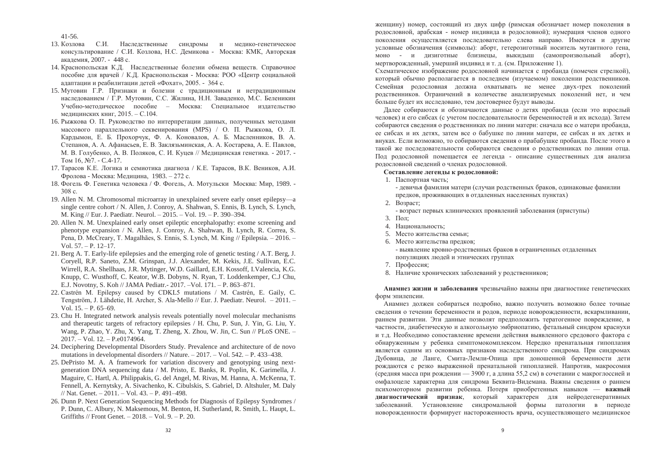41-56.

- 13. Козлова С.И. Наслелственные синдромы и медико-генетическое консультирование / С.И. Козлова, Н.С. Лемикова - Москва: КМК, Авторская акалемия, 2007. - 448 с.
- 14. Краснопольская К.Д. Наслелственные болезни обмена вешеств. Справочное пособие лля врачей / К.Л. Краснопольская - Москва: РОО «Пентр социальной алаптации и реабилитации летей «Фохат», 2005. - 364 с.
- 15. Мутовин Г.Р. Признаки и болезни с тралиционным и нетралиционным наследованием / Г.Р. Мутовин, С.С. Жилина, Н.Н. Заваденко, М.С. Беленикин Учебно-методическое пособие – Москва: Специальное издательство мелицинских книг. 2015. – С.104.
- 16. Рыжкова О. П. Руковолство по интерпретации ланных, полученных методами массового параллельного секвенирования (MPS) / О. П. Рыжкова, О. Л. Кардымон, Е. Б. Прохорчук, Ф. А. Коновалов, А. Б. Масленников, В. А. Степанов, А. А. Афанасьев, Е. В. Заклязьминская, А. А. Костарева, А. Е. Павлов, М. В. Голубенко, А. В. Поляков, С. И. Куцев // Медицинская генетика. - 2017. - $Tom 16, N<sub>2</sub>7. - C.4-17.$
- 17. Тарасов К.Е. Логика и семиотика диагноза / К.Е. Тарасов, В.К. Веников, А.И. Фролова - Москва: Медицина, 1983. – 272 с.
- 18. Фогель Ф. Генетика человека / Ф. Фогель, А. Мотульски Москва: Мир. 1989. - $308 \text{ c.}$
- 19. Allen N. M. Chromosomal microarray in unexplained severe early onset epilepsy—a single centre cohort / N. Allen, J. Conroy, A. Shahwan, S. Ennis, B. Lynch, S. Lynch, M. King // Eur. J. Paediatr. Neurol. – 2015. – Vol. 19. – P. 390–394.
- 20. Allen N. M. Unexplained early onset epileptic encephalopathy: exome screening and phenotype expansion / N. Allen, J. Conroy, A. Shahwan, B. Lynch, R. Correa, S. Pena, D. McCreary, T. Magalhães, S. Ennis, S. Lynch, M. King // Epilepsia. – 2016. – Vol. 57. – P. 12–17.
- 21. Berg A. T. Early-life epilepsies and the emerging role of genetic testing / A.T. Berg, J. Coryell, R.P. Saneto, Z.M. Grinspan, J.J. Alexander, M. Kekis, J.E. Sullivan, E.C. Wirrell, R.A. Shellhaas, J.R. Mytinger, W.D. Gaillard, E.H. Kossoff, I.Valencia, K.G. Knupp, C. Wusthoff, C. Keator, W.B. Dobyns, N. Ryan, T. Loddenkemper, C.J Chu, E.J. Novotny, S. Koh // JAMA Pediatr.- 2017. –Vol. 171. – P. 863–871.
- 22. Castrén M. Epilepsy caused by CDKL5 mutations / M. Castrén, E. Gaily, C. Tengström, J. Lähdetie, H. Archer, S. Ala-Mello // Eur. J. Paediatr. Neurol. – 2011. – Vol. 15. – P. 65–69.
- 23. Chu H. Integrated network analysis reveals potentially novel molecular mechanisms and therapeutic targets of refractory epilepsies / H. Chu, P. Sun, J. Yin, G. Liu, Y. Wang, P. Zhao, Y. Zhu, X. Yang, T. Zheng, X. Zhou, W. Jin, C. Sun // PLoS ONE. – 2017. – Vol. 12. – P.e0174964.
- 24. Deciphering Developmental Disorders Study. Prevalence and architecture of de novo mutations in developmental disorders // Nature. – 2017. – Vol. 542. – P. 433–438.
- 25. DePristo M. A. A framework for variation discovery and genotyping using nextgeneration DNA sequencing data / M. Pristo, E. Banks, R. Poplin, K. Garimella, J. Maguire, C. Hartl, A. Philippakis, G. del Angel, M. Rivas, M. Hanna, A. McKenna, T. Fennell, A. Kernytsky, A. Sivachenko, K. Cibulskis, S. Gabriel, D. Altshuler, M. Daly // Nat. Genet. – 2011. – Vol. 43. – P. 491–498.
- 26. Dunn P. Next Generation Sequencing Methods for Diagnosis of Epilepsy Syndromes / P. Dunn, C. Albury, N. Maksemous, M. Benton, H. Sutherland, R. Smith, L. Haupt, L. Griffiths // Front Genet. – 2018. – Vol. 9. – P. 20.

женшину) номер, состоящий из двух цифр (римская обозначает номер поколения в родословной, арабская - номер индивила в родословной); нумерация членов одного поколения осушествляется последовательно слева направо. Имеются и другие условные обозначения (символы): аборт, гетерозиготный носитель мутантного гена, моно - и дизиготные близнецы, выкидыш (самопроизвольный аборт), мертворожденный, умерший индивид и т. д. (см. Приложение 1).

Схематическое изображение ролословной начинается с пробанла (помечен стрелкой), который обычно располагается в последнем (изучаемом) поколении родственников. Семейная ролословная лолжна охватывать не менее лвух-трех поколений родственников. Ограничений в количестве анализируемых поколений нет, и чем больше будет их исследовано, тем достовернее будут выводы.

Далее собираются и обозначаются ланные о летях пробанла (если это взрослый человек) и его сибсах (с учетом последовательности беременностей и их исхода). Затем собираются сведения о родственниках по линии матери: сначала все о матери пробанда, ее сибсах и их детях, затем все о бабушке по линии матери, ее сибсах и их детях и внуках. Если возможно, то собираются сведения о прабабушке пробанда. После этого в такой же последовательности собираются сведения о родственниках по линии отца. Под ролословной помешается ее легенда - описание сушественных для анализа родословной сведений о членах родословной.

### $Co**CTABJEHHe**$  легенды к родословной:

1. Паспортная часть;

- девичья фамилия матери (случаи родственных браков, одинаковые фамилии предков, проживающих в отдаленных населенных пунктах)

- 2. Возраст;
	- возраст первых клинических проявлений заболевания (приступы)
- $3.$  Пол:
- 4. Напиональность:
- 5. Место жительства семьи:
- 6. Место жительства прелков:
	- выявление кровно-родственных браков в ограниченных отдаленных популяциях людей и этнических группах
- 7. Профессия:
- 8. Наличие хронических заболеваний у родственников;

Анамнез жизни и заболевания чрезвычайно важны при диагностике генетических форм эпилепсии.

Анамнез должен собираться подробно, важно получить возможно более точные сведения о течении беременности и родов, периоде новорожденности, вскармливании, раннем развитии. Эти данные позволят предположить тератогенное повреждение, в частности, диабетическую и алкогольную эмбриопатию, фетальный синдром краснухи и т.д. Необходимо сопоставление времени действия выявленного средового фактора с обнаруженным у ребенка симптомокомплексом. Нередко пренатальная гипоплазия является одним из основных признаков наследственного синдрома. При синдромах Дубовица, де Ланге, Смита-Лемли-Опица при доношенной беременности дети рождаются с резко выраженной пренатальной гипоплазией. Напротив, макросомия (средняя масса при рождении — 3900 г, а длина 55,2 см) в сочетании с макроглоссией и омфалоцеле характерна для синдрома Беквита-Видемана. Важны сведения о раннем психомоторном развитии ребенка. Потеря приобретенных навыков — важный диагностический признак, который характерен для нейродегенеративных заболеваний. Установление синдромальной формы патологии в периоде новорожденности формирует настороженность врача, осуществляющего медицинское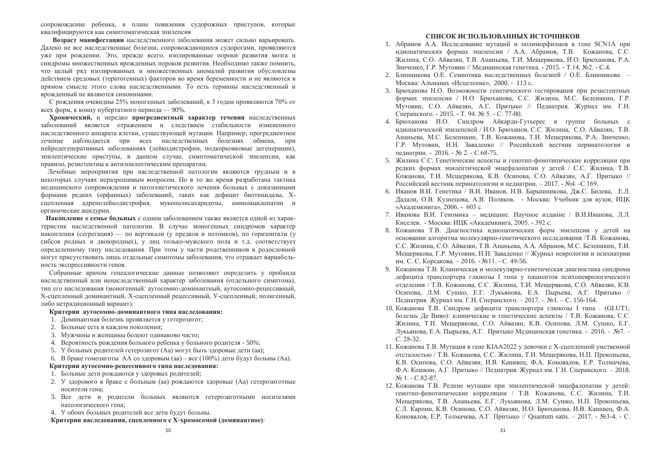сопровождение ребенка, в плане появления судорожных приступов, которые квалифицируются как симптоматическая эпилепсия

Возраст манифестации наслелственного заболевания может сильно варьировать. Далеко не все наслелственные болезни, сопровождающиеся судорогами, проявляются уже при рождении. Это, прежде всего, изолированные пороки развития мозга и синдромы множественных врожденных пороков развития. Необходимо также помнить. что целый ряд изолированных и множественных аномалий развития обусловлены действием средовых (тератогенных) факторов во время беременности и не являются в прямом смысле этого слова наслелственными. То есть термины наслелственный и врожденный не являются синонимами.

С рождения очевидны 25% моногенных заболеваний, к 3 годам проявляются 70% от всех форм, к концу пубертатного периода — 90%.

Хронический, и нередко прогредиентный характер течения наследственных заболеваний является отражением и следствием стабильности измененного наследственного аппарата клетки, существующей мутации. Например, прогредиентное течение наблюдается при всех наследственных болезнях обмена, при нейродегенеративных заболеваниях (лейкодистрофии, подкорковковые дегенерации), эпилептические приступы, в данном случае, симптоматической эпилепсии, как правило, резистентны к антиэпилептическим препаратам.

Лечебные мероприятия при наследственной патологии являются трудным и в некоторых случаях неразрешимым вопросом. Но в то же время разработана тактика медицинского сопровождения и патогенетического лечения больных с доказанными формами редких (орфанных) заболеваний, таких как дефицит биотинидазы, Хсцепленная адренолейкодистрофия, мукополисахаридозы, аминоацидопатии и органические ацидурии.

Накопление в семье больных с одним заболеванием также является одной из характеристик наследственной патологии. В случае моногенных синдромов характер накопления (сегрегация) — по вертикали (у предков и потомков), по горизонтали (у сибсов родных и двоюродных), у лиц только-мужского пола и т.д. соответствует определенному типу наследования. При этом у части родственников в родословной могут присутствовать лишь отдельные симптомы заболевания, что отражает вариабельность экспрессивности генов.

Собранные врачом генеалогические данные позволяют определить у пробанда наследственный или ненаследственный характер заболевания (отдельного симптома), тип его наследования (моногенный: аутосомно-доминантный, аутосомно-рецессивный, Х-сцепленный доминантный, Х-сцепленный рецессивный, У-сцепленный; полигенный, либо нетрадиционный вариант).

### Критерии аутосомно-доминантного типа наследования:

- 1. Доминантная болезнь проявляется у гетерозигот;
- 2. Больные есть в кажлом поколении:
- 3. Мужчины и женщины болеют одинаково часто;
- 4. Вероятность рождения больного ребенка у больного родителя 50%;
- 5. У больных родителей гетерозигот (Аа) могут быть здоровые дети (аа);

6. В браке гомозиготы АА со здоровым (аа) – все (100%) дети будут больны (Аа).

### Критерии аутосомно-рецессивного типа наследования:

- 1. Больные дети рождаются у здоровых родителей;
- 2. У здорового в браке с больным (аа) рождаются здоровые (Аа) гетерозиготные носители гена:
- 3. Все лети и родители больных являются гетерозиготными носителями патологического гена;
- 4. У обоих больных родителей все дети будут больны.

### Критерии наследования, сцепленного с Х-хромосомой (доминантное):

### СПИСОК ИСПОЛЬЗОВАННЫХ ИСТОЧНИКОВ

- 1. Абрамов А.А. Исследование мутаций и полиморфизмов в гене SCN1А при илиопатических формах эпилепсии / А.А. Абрамов, Т.В. Кожанова, С.С. Жилина, С.О. Айвазян, Т.В. Ананьева, Т.И. Мешерякова, Н.О. Брюханова, Р.А. Зинченко, Г.Р. Мутовин // Мелицинская генетика. - 2015. - Т.14, №2. - С.4.
- 2. Блинникова О.Е. Семиотика наслелетвенных болезней / О.Е. Блинникова Москва: Альманах «Исцеление», 2000. - 113 с.
- 3. Брюханова Н.О. Возможности генетического тестирования при резистентных формах эпилепсии / Н.О. Брюханова, С.С. Жилина, М.С. Беленикин, Г.Р. Мутовин, С.О. Айвазян, А.Г. Притыко // Пелиатрия, Журнал им. Г.Н. Сперанского. - 2015. - Т. 94. № 5. - С. 77-80.
- 4. Брюханова Н.О. Синдром Айкарди-Гутьерес в группе больных с идиопатической эпилепсией / Н.О. Брюханов, С.С. Жилина, С.О. Айвазян, Т.В. Ананьева, М.С. Беленикин, Т.В. Кожанова, Т.И. Мещерякова, Р.А. Зинченко, Г.Р. Мутовин, Н.Н. Заваденко // Российский вестник перинатологии и педиатрии. - 2016. - № 2. - С.68-75.
- 5. Жилина С.С. Генетические аспекты и генотип-фенотипические корреляции при редких формах эпилептической энцефалопатии у детей / С.С. Жилина, Т.В. Кожанова, Т.И. Мещерякова, К.В. Осипова, С.О. Айвазян, А.Г. Притыко // Российский вестник перинатологии и педиатрии. – 2017. - №4. -С.169.
- 6. Иванов В.И. Генетика / В.И. Иванов, Н.В. Барышникова, Дж.С. Билева, Е.Л. Дадали, О.В. Кузнецова, А.В. Поляков. - Москва: Учебник для вузов, ИЦК «Акалемкнига», 2006. - 603 с.
- 7. Иванова В.И. Геномика мелицине. Научное излание / В.И.Иванова. Л.Л. Киселев. - Москва: ИЦК «Академкнига, 2005. - 392 с.
- 8. Кожанова Т.В. Диагностика идиопатических форм эпилепсии у детей на основании алгоритма молекулярно-генетического исследования /Т.В. Кожанова, С.С. Жилина, С.О. Айвазян, Т.В. Ананьева, А.А. Абрамов, М.С. Беленикин, Т.И. Мещерякова, Г.Р. Мутовин, Н.Н. Заваденко // Журнал неврологии и психиатрии им. С. С. Корсакова. – 2016. - №11. - С. 49-56.
- 9. Кожанова Т.В. Клиническая и молекулярно-генетическая диагностика синдрома дефицита транспортера глюкозы I типа у пациентов психоневрологического отделения / Т.В. Кожанова, С.С. Жилина, Т.И. Мещерякова, С.О. Айвазян, К.В. Осипова, Л.М. Сушко, Е.Г. Лукьянова, Е.А. Пырьева, А.Г. Притыко // Педиатрия. Журнал им. Г.Н. Сперанского. – 2017. - №1. – С. 156-164.
- 10. Кожанова Т.В. Синдром дефицита транспортера глюкозы I типа. (GLUT1; болезнь Де Виво): клинические и генетические аспекты / Т.В. Кожанова, С.С. Жилина, Т.И. Мещерякова, С.О. Айвазян, К.В. Осипова, Л.М. Сушко, Е.Г. Лукьянова, Е.А. Пырьева, А.Г. Притыко Медицинская генетика. - 2016. - №7. – C. 28-32.
- 11. Кожанова Т.В. Мутация в гене КІАА2022 у девочки с Х-сцепленной умственной отсталостью / Т.В. Кожанова, С.С. Жилина, Т.И. Мещерякова, Н.П. Прокопьева, К.В. Осипова, С.О. Айвазян, И.В. Канивец, Ф.А. Коновалов, Е.Р. Толмачева, Ф.А. Кошкин, А.Г. Притыко // Педиатрия. Журнал им. Г.Н. Сперанского. – 2018.  $N<sub>2</sub>$  1. - C.82-87.
- 12. Кожанова Т.В. Редкие мутации при эпилептической энцефалопатии у детей: генотип-фенотипические корреляции / Т.В. Кожанова. С.С. Жилина. Т.И. Мещерякова, Т.В. Ананьева, Е.Г. Лукьянова, Л.М. Сушко, Н.П. Прокопьева, С.Л. Карпин, К.В. Осипова, С.О. Айвазян, Н.О. Брюханова, И.В. Канивец, Ф.А. Коновалов, Е.Р. Толмачева, А.Г. Притыко // Quantum satis. – 2017. - №3-4. - С.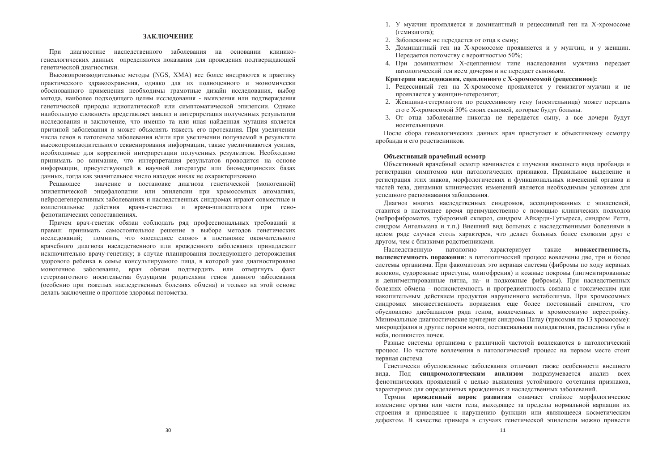### ЗАКЛЮЧЕНИЕ

При лиагностике наслелственного заболевания на основании клиникогенеалогических данных определяются показания для проведения подтверждающей генетической лиагностики.

Высокопроизводительные методы (NGS, XMA) все более внедряются в практику практического здравоохранения, однако для их полноценного и экономически обоснованного применения необхолимы грамотные лизайн исслелования, выбор метола, наиболее полхоляшего целям исслелования - выявления или полтверждения генетической природы идиопатической или симптоматической эпилепсии. Однако наибольшую сложность представляет анализ и интерпретация полученных результатов исслелования и заключение, что именно та или иная найленная мутация является причиной заболевания и может объяснять тяжесть его протекания. При увеличении числа генов в патогенезе заболевания и/или при увеличении получаемой в результате высокопроизводительного секвенирования информации, также увеличиваются усилия, необходимые для корректной интерпретации полученных результатов. Необходимо принимать во внимание, что интерпретация результатов проводится на основе информации, присутствующей в научной литературе или биомедицинских базах данных, тогда как значительное число находок никак не охарактеризовано.

Решающее значение в постановке диагноза генетической (моногенной) эпилептической энцефалопатии или эпилепсии при хромосомных аномалиях, нейродегенеративных заболеваниях и наследственных синдромах играют совместные и коллегиальные действия врача-генетика и врача-эпилептолога при генофенотипических сопоставлениях.

Причем врач-генетик обязан соблюдать ряд профессиональных требований и правил: принимать самостоятельное решение в выборе методов генетических исследований; помнить, что «последнее слово» в постановке окончательного врачебного диагноза наследственного или врожденного заболевания принадлежит исключительно врачу-генетику; в случае планирования последующего деторождения здорового ребенка в семье консультируемого лица, в которой уже диагностировано моногенное заболевание, врач обязан подтвердить или отвергнуть факт гетерозиготного носительства будущими родителями генов данного заболевания (особенно при тяжелых наследственных болезнях обмена) и только на этой основе делать заключение о прогнозе здоровья потомства.

- 1. У мужчин проявляется и ломинантный и репессивный ген на Х-хромосоме (гемизигота);
- 2. Заболевание не передается от отца к сыну;
- 3. Ломинантный ген на X-хромосоме проявляется и у мужчин, и у женщин, Передается потомству с вероятностью 50%;
- 4. При доминантном Х-спепленном типе наследования мужчина передает патологический ген всем дочерям и не передает сыновьям.

#### Критерии наслелования, спепленного с X-хромосомой (репессивное):

- 1. Ренессивный ген на Х-хромосоме проявляется у гемизигот-мужчин и не проявляется у женщин-гетерозигот:
- 2. Женщина-гетерозигота по рецессивному гену (носительница) может передать его с Х-хромосомой 50% своих сыновей, которые будут больны.
- 3. От отца заболевание никогда не передается сыну, а все дочери будут носительницами.

После сбора генеалогических данных врач приступает к объективному осмотру пробанда и его родственников.

#### Объективный врачебный осмотр

Объективный врачебный осмотр начинается с изучения внешнего вида пробанда и регистрации симптомов или патологических признаков. Правильное выделение и регистрация этих знаков, морфологических и функциональных изменений органов и частей тела, динамики клинических изменений является необходимым условием для успешного распознавания заболевания.

Диагноз многих наследственных синдромов, ассоциированных с эпилепсией, ставится в настоящее время преимущественно с помощью клинических подходов (нейрофиброматоз, туберозный склероз, синдром Айкарди-Гутьереса, синдром Ретта, синдром Ангельмана и т.п.) Внешний вид больных с наследственными болезнями в целом ряде случаев столь характерен, что делает больных более схожими друг с лругом, чем с близкими ролственниками.

Наследственную патологию характеризует также **множественность**, полисистемность поражения: в патологический процесс вовлечены две, три и более системы организма. При факоматозах это нервная система (фибромы по ходу нервных волокон, судорожные приступы, олигофрения) и кожные покровы (пигментированные и депигментированные пятна, на- и подкожные фибромы). При наследственных болезнях обмена - полисистемность и прогредиентность связана с токсическим или накопительным действием продуктов нарушенного метаболизма. При хромосомных синдромах множественность поражения еще более постоянный симптом, что обусловлено дисбалансом ряда генов, вовлеченных в хромосомную перестройку. Минимальные диагностические критерии синдрома Патау (трисомия по 13 хромосоме): микроцефалия и другие пороки мозга, постаксиальная полидактилия, расщелина губы и неба, поликистоз почек.

Разные системы организма с различной частотой вовлекаются в патологический процесс. По частоте вовлечения в патологический процесс на первом месте стоит нервная система

Генетически обусловленные заболевания отличают также особенности внешнего вида. Под синдромологическим анализом подразумевается анализ всех фенотипических проявлений с целью выявления устойчивого сочетания признаков, характерных для определенных врожденных и наследственных заболеваний.

Термин врожденный порок развития означает стойкое морфологическое изменение органа или части тела, выходящее за пределы нормальной вариации их строения и приводящее к нарушению функции или являющееся косметическим дефектом. В качестве примера в случаях генетической эпилепсии можно привести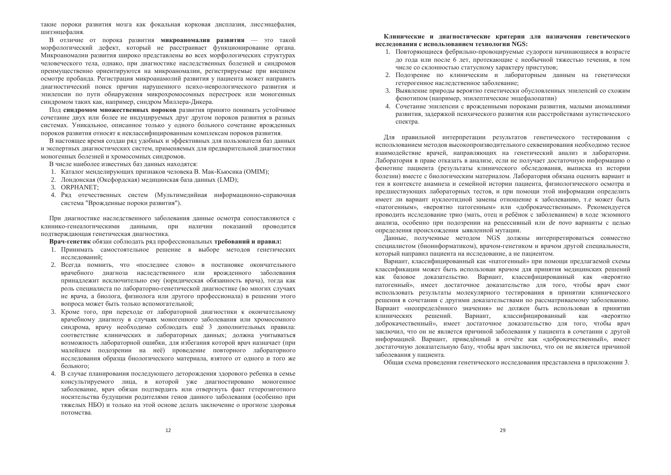такие пороки развития мозга как фокальная корковая лисплазия, лиссэнцефалия, шизэнцефалия.

В отличие от порока развития микроаномалия развития — это такой морфологический дефект, который не расстраивает функционирование органа. Микроаномалии развития широко представлены во всех морфологических структурах человеческого тела, однако, при диагностике наследственных болезней и синдромов преимущественно ориентируются на микроаномалии, регистрируемые при внешнем осмотре пробанла. Регистрация микроанамолий развития у пациента может направить диагностический поиск причин нарушенного психо-неврологического развития и эпилепсии по пути обнаружения микрохромосомных перестроек или моногенных синдромом таких как, например, синдром Миллера-Ликера,

Пол синдромом множественных пороков развития принято понимать устойчивое сочетание двух или более не индуцируемых друг другом пороков развития в разных системах. Уникальное, описанное только у одного больного сочетание врожденных пороков развития относят к неклассифицированным комплексам пороков развития.

В настоящее время создан ряд удобных и эффективных для пользователя баз данных и экспертных диагностических систем, применяемых для предварительной диагностики моногенных болезней и хромосомных синдромов.

В числе наиболее известных баз данных находятся:

- 1. Каталог менделирующих признаков человека В. Мак-Кьюсика (ОМІМ);
- 2. Лондонская (Оксфордская) медицинская база данных (LMD);
- 3. ORPHANET;
- 4. Ряд отечественных систем (Мультимедийная информационно-справочная система "Врожденные пороки развития").

При диагностике наследственного заболевания данные осмотра сопоставляются с клинико-генеалогическими данными, при наличии показаний проводится полтвержлающая генетическая лиагностика.

Врач-генетик обязан соблюдать ряд профессиональных требований и правил:

- 1. Принимать самостоятельное решение в выборе методов генетических исследований:
- 2. Всегда помнить, что «последнее слово» в постановке окончательного врачебного диагноза наследственного или врожденного заболевания принадлежит исключительно ему (юридическая обязанность врача), тогда как роль специалиста по лабораторно-генетической диагностике (во многих случаях не врача, а биолога, физиолога или другого профессионала) в решении этого вопроса может быть только вспомогательной;
- 3. Кроме того, при переходе от лабораторной диагностики к окончательному врачебному диагнозу в случаях моногенного заболевания или хромосомного синдрома, врачу необходимо соблюдать ещё 3 дополнительных правила: соответствие клинических и лабораторных данных; должна учитываться возможность лабораторной ошибки, для избегания которой врач назначает (при малейшем подозрении на неё) проведение повторного лабораторного исследования образца биологического материала, взятого от одного и того же больного;
- 4. В случае планирования последующего деторождения здорового ребенка в семье консультируемого лица, в которой уже диагностировано моногенное заболевание, врач обязан подтвердить или отвергнуть факт гетерозиготного носительства будущими родителями генов данного заболевания (особенно при тяжелых НБО) и только на этой основе делать заключение о прогнозе здоровья потомства.

### Клинические и диагностические критерии для назначения генетического **ИССЛЕЛОВАНИЯ С ИСПОЛЬЗОВАНИЕМ ТЕХНОЛОГИИ NGS:**

- 1. Повторяющиеся фебрильно-провоцируемые судороги начинающиеся в возрасте до года или после 6 лет, протекающие с необычной тяжестью течения, в том числе со склонностью статусному характеру приступов:
- 2. Подозрение по клиническим и лабораторным данным на генетически гетерогенное наслелственное заболевание:
- 3. Выявление природы вероятно генетически обусловленных эпилепсий со схожим фенотипом (например, эпилептические энцефалопатии)
- 4. Сочетание эпилепсии с врожденными пороками развития, малыми аномалиями развития, залержкой психического развития или расстройствами аутистического спектра.

Для правильной интерпретации результатов генетического тестирования с использованием методов высокопроизводительного секвенирования необходимо тесное взаимодействие врачей, направляющих на генетический анализ и лаборатории. Лаборатория в праве отказать в анализе, если не получает достаточную информацию о фенотипе пациента (результаты клинического обследования, выписка из истории болезни) вместе с биологическим материалом. Лаборатория обязана оценить вариант и ген в контексте анамнеза и семейной истории пациента, физиологического осмотра и предшествующих лабораторных тестов, и при помощи этой информации определить имеет ли вариант нуклеотидной замены отношение к заболеванию, т.е может быть «патогенным», «вероятно патогенным» или «доброкачественным». Рекомендуется проводить исследование трио (мать, отец и ребёнок с заболеванием) в ходе экзомного анализа, особенно при подозрении на рецессивный или de novo варианты с целью определения происхождения ыявленной мутации.

Данные, полученные методом NGS должны интерпретироваться совместно специалистом (биоинформатиком), врачом-генетиком и врачом другой специальности, который направил пациента на исследование, а не пациентом.

Вариант, классифицированный как «патогенный» при помощи предлагаемой схемы классификации может быть использован врачом для принятия медицинских решений как базовое доказательство. Вариант, классифицированный как «вероятно патогенный», имеет достаточное доказательство для того, чтобы врач смог использовать результаты молекулярного тестирования в принятии клинического решения в сочетании с другими доказательствами по рассматриваемому заболеванию. Вариант «неопределённого значения» не должен быть использован в принятии клинических решений. Вариант, классифицированный как «вероятно доброкачественный», имеет достаточное доказательство для того, чтобы врач заключил, что он не является причиной заболевания у пациента в сочетании с другой информацией. Вариант, приведённый в отчёте как «доброкачественный», имеет достаточную доказательную базу, чтобы врач заключил, что он не является причиной заболевания у пациента.

Общая схема проведения генетического исследования представлена в приложении 3.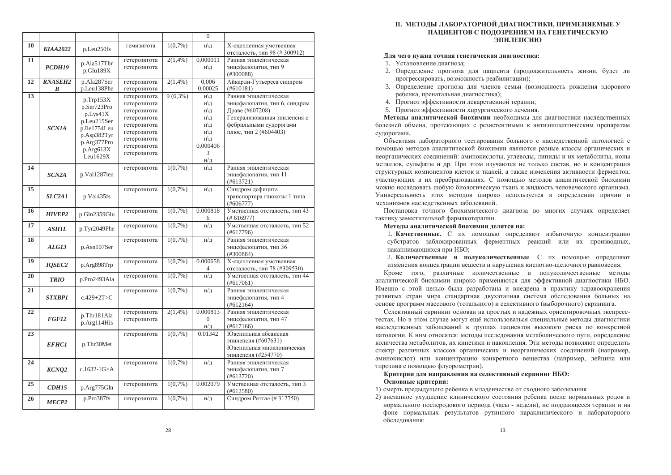|    |                    |                  |              |            | $\overline{0}$      |                                    |
|----|--------------------|------------------|--------------|------------|---------------------|------------------------------------|
| 10 |                    |                  | гемизигота   | $1(0.7\%)$ | н\д                 | Х-сцепленная умственная            |
|    | <b>KIAA2022</b>    | p.Leu250fs       |              |            |                     | отсталость, тип 98 (#300912)       |
| 11 |                    |                  | гетерозигота | $2(1,4\%)$ | 0,000011            | Ранняя эпилептическая              |
|    | PCDH19             | p.Ala517Thr      | гетерозигота |            | н\д                 | энцефалопатия, тип 9               |
|    |                    | p.Glu189X        |              |            |                     | (#300088)                          |
| 12 | <b>RNASEH2</b>     | p.Ala287Ser      | гетерозигота | $2(1,4\%)$ | 0,006               | Айкарди-Гутьереса синдром          |
|    | B                  | p.Leu138Phe      | гетерозигота |            | 0,00025             | (#610181)                          |
| 13 |                    | $p$ .Trp153 $X$  | гетерозигота | $9(6,3\%)$ | н\д                 | Ранняя эпилептическая              |
|    |                    | p.Ser723Pro      | гетерозигота |            | н\д                 | энцефалопатия, тип 6, синдром      |
|    |                    | p.Lvs41X         | гетерозигота |            | н\д                 | Драве (#607208)                    |
|    |                    | p.Leu215Ser      | гетерозигота |            | н\д                 | Генерализованная эпилепсия с       |
|    | <b>SCN1A</b>       | p.Ile1754Leu     | гетерозигота |            | н\д                 | фебрильными судорогами             |
|    |                    | p.Asp382Tyr      | гетерозигота |            | н\д                 | плюс, тип 2 (#604403)              |
|    |                    | p.Arg377Pro      | гетерозигота |            | н\д                 |                                    |
|    |                    | p.Arg613X        | гетерозигота |            | 0.000406            |                                    |
|    |                    | Leu1629X         | гетерозигота |            | 3                   |                                    |
|    |                    |                  |              |            | н/д                 |                                    |
| 14 |                    |                  | гетерозигота | $1(0.7\%)$ | н\д                 | Ранняя эпилептическая              |
|    | SCN <sub>2</sub> A | p.Val1287leu     |              |            |                     | энцефалопатия, тип 11<br>(#613721) |
| 15 |                    |                  |              | $1(0,7\%)$ |                     | Синдром дефицита                   |
|    | SLC2A1             | p.Val435fs       | гетерозигота |            | н\д                 | транспортера глюкозы 1 типа        |
|    |                    |                  |              |            |                     | $(\#606777)$                       |
| 16 |                    |                  | гетерозигота | $1(0,7\%)$ | 0.000818            | Умственная отсталость, тип 43      |
|    | <b>HIVEP2</b>      | p.Gln2359Glu     |              |            | 6                   | (#616977)                          |
| 17 |                    |                  | гетерозигота | $1(0.7\%)$ | $H/\mathcal{I}$     | Умственная отсталость, тип 52      |
|    | <b>ASHIL</b>       | p.Tyr2049Phe     |              |            |                     | (#617796)                          |
| 18 |                    |                  | гетерозигота | $1(0,7\%)$ | н/д                 | Ранняя эпилептическая              |
|    | ALG13              | p.Asn107Ser      |              |            |                     | энцефалопатия, тип 36              |
|    |                    |                  |              |            |                     | (#300884)                          |
| 19 | <b>IOSEC2</b>      | p.Arg898Trp      | гетерозигота | $1(0.7\%)$ | 0.000658            | Х-сцепленная умственная            |
|    |                    |                  |              |            | 4                   | отсталость, тип 78 (#309530)       |
| 20 | <b>TRIO</b>        | p.Pro2493Ala     | гетерозигота | $1(0,7\%)$ | $H/\mathbb{I}$      | Умственная отсталость, тип 44      |
|    |                    |                  |              |            |                     | (#617061)                          |
| 21 |                    |                  | гетерозигота | 1(0,7% )   | н/д                 | Ранняя эпилептическая              |
|    | <b>STXBP1</b>      | $c.429 + 2T > C$ |              |            |                     | энцефалопатия, тип 4               |
| 22 |                    |                  | гетерозигота | $2(1,4\%)$ | 0.000813            | (#612164)<br>Ранняя эпилептическая |
|    | FGF12              | p.Thr181Ala      | гетерозигота |            | $\Omega$            | энцефалопатия, тип 47              |
|    |                    | p.Arg114His      |              |            | н/д                 | (#617166)                          |
| 23 |                    |                  | гетерозигота | $1(0.7\%)$ | 0.01342             | Ювенильная абсансная               |
|    |                    |                  |              |            |                     | эпилепсия (#607631)                |
|    | <b>EFHC1</b>       | p.Thr30Met       |              |            |                     | Ювенильная миоклоническая          |
|    |                    |                  |              |            |                     | эпилепсия (#254770)                |
| 24 |                    |                  | гетерозигота | $1(0.7\%)$ | $H/\mathbb{I}$      | Ранняя эпилептическая              |
|    | KCNO <sub>2</sub>  | c.1632-1G>A      |              |            |                     | энцефалопатия, тип 7               |
|    |                    |                  |              |            |                     | (#613720)                          |
| 25 | <b>CDH15</b>       |                  | гетерозигота | $1(0,7\%)$ | 0.002079            | Умственная отсталость, тип 3       |
|    |                    | p.Arg775Gln      |              |            |                     | (#612580)                          |
| 26 | MECP <sub>2</sub>  | p.Pro387fs       | гетерозигота | $1(0.7\%)$ | $H/\underline{\Pi}$ | Синдром Ретта» (#312750)           |
|    |                    |                  |              |            |                     |                                    |

### **И.** МЕТОДЫ ЛАБОРАТОРНОЙ ДИАГНОСТИКИ, ПРИМЕНЯЕМЫЕ У **ПАЦИЕНТОВ С ПОЛОЗРЕНИЕМ НА ГЕНЕТИЧЕСКУЮ ЭПИЛЕПСИЮ**

### Для чего нужна точная генетическая диагностика:

- 1. Установление лиагноза:
- 2. Определение прогноза для пациента (продолжительность жизни, будет ли прогрессировать, возможность реабилитации);
- 3. Определение прогноза для членов семьи (возможность рождения здорового ребенка, пренатальная диагностика);
- 4. Прогноз эффективности лекарственной терапии;
- 5. Прогноз эффективности хирургического лечения.

Методы аналитической биохимии необходимы для диагностики наследственных болезней обмена, протекающих с резистентными к антиэпилептическим препаратам сулорогами.

Объектами лабораторного тестирования больного с наследственной патологией с помощью методов аналитической биохимии являются разные классы органических и неорганических соединений: аминокислоты, углеводы, липиды и их метаболиты, ионы металлов, сульфаты и др. При этом изучаются не только состав, но и концентрация структурных компонентов клеток и тканей, а также изменения активности ферментов, участвующих в их преобразованиях. С помощью методов аналитической биохимии можно исследовать любую биологическую ткань и жидкость человеческого организма. Универсальность этих методов широко используется в определении причин и механизмов наслелственных заболеваний.

Постановка точного биохимического диагноза во многих случаях определяет тактику заместительной фармакотерапии.

#### Методы аналитической биохимии делятся на:

1. Качественные. С их помощью определяют избыточную концентрацию субстратов заблокированных ферментных реакций или их производных, накапливающихся при НБО;

2. Количественные и полуколичественные. С их помощью определяют изменения концентрации веществ и нарушения кислотно-щелочного равновесия.

Кроме того, различные количественные и полуколичественные методы аналитической биохимии широко применяются для эффективной диагностики НБО. Именно с этой целью была разработана и внедрена в практику здравоохранения развитых стран мира стандартная двухэтапная система обследования больных на основе программ массового (тотального) и селективного (выборочного) скрининга.

Селективный скрининг основан на простых и надежных ориентировочных экспресстестах. Но в этом случае могут ещё использоваться специальные методы диагностики наследственных заболеваний в группах пациентов высокого риска по конкретной патологии. К ним относятся: методы исследования метаболического пути, определение количества метаболитов, их кинетики и накопления. Эти методы позволяют определить спектр различных классов органических и неорганических соединений (например, аминокислот) или концентрацию конкретного вещества (например, лейцина или тирозина с помощью флуорометрии).

### Критерии для направления на селективный скрининг НБО: **Основные критерии:**

1) смерть предыдущего ребенка в младенчестве от сходного заболевания

2) внезапное ухудшение клинического состояния ребенка после нормальных родов и нормального послеродового периода (часы - недели), не поддающееся терапии и на фоне нормальных результатов рутинного параклинического и лабораторного обследования: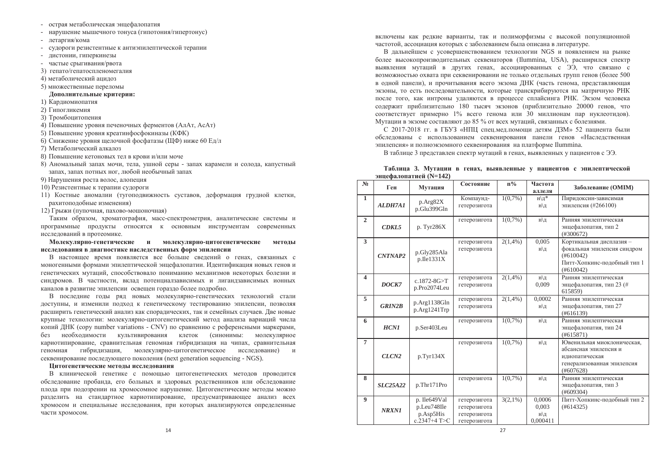- острая метаболическая энцефалопатия
- нарушение мышечного тонуса (гипотония/гипертонус)
- πetaprus/κοMa
- судороги резистентные к антиэпилептической терапии
- листонии, гиперкинезы
- частые срыгивания/рвота
- 3) гепато/гепатоспленомегалия
- 4) метаболический анилоз
- 5) множественные переломы

#### $\Lambda$ ополнительные критерии:

- 1) Кардиомиопатия
- 2) Гипогликемия
- 3) Тромбоцитопения
- 4) Повышение уровня печеночных ферментов (АлАт, АсАт)
- 5) Повышение уровня креатинфосфокиназы (КФК)
- 6) Снижение уровня щелочной фосфатазы (ЩФ) ниже 60 Ед/л
- 7) Метаболический алкалоз
- 8) Повышение кетоновых тел в крови и/или моче
- 8) Аномальный запах мочи, тела, ушной серы запах карамели и солода, капустный запах, запах потных ног, любой необычный запах
- 9) Нарушения роста волос, алопеция
- 10) Резистентные к терапии судороги
- 11) Костные аномалии (тугоподвижность суставов, деформация грудной клетки, рахитоподобные изменения)

12) Грыжи (пупочная, пахово-мошоночная)

Таким образом, хроматография, масс-спектрометрия, аналитические системы и программные продукты относятся к основным инструментам современных исследований в протеомике.

**Молекулярно-генетические и молекулярно-цитогенетические методы** исследования в диагностике наследственных форм эпилепсии

В настоящее время появляется все больше сведений о генах, связанных с моногенными формами эпилептической энцефалопатии. Идентификация новых генов и генетических мутаций, способствовало пониманию механизмов некоторых болезни и синдромов. В частности, вклад потенциалзависимых и лигандзависимых ионных каналов в развитие эпилепсии освещен гораздо более подробно.

В последние годы ряд новых молекулярно-генетических технологий стали доступны, и изменили подход к генетическому тестированию эпилепсии, позволяя расширить генетический анализ как спорадических, так и семейных случаев. Две новые крупные технологии: молекулярно-цитогенетический метод анализа вариаций числа копий ДНК (copy number variations - CNV) по сравнению с референсными маркерами, без необходимости культивирования клеток (синонимы: молекулярное кариотипирование, сравнительная геномная гибридизация на чипах, сравнительная геномная гибридизация, молекулярно-цитогенетическое исследование) и cеквенирование последующего поколения (next generation sequencing - NGS).

### **Шитогенетические методы исследования**

В клинической генетике с помощью цитогенетических методов проводится обследование пробанда, его больных и здоровых родственников или обследование плода при подозрении на хромосомное нарушение. Цитогенетические методы можно разделить на стандартное кариотипирование, предусматривающее анализ всех хромосом и специальные исследования, при которых анализируются определенные части хромосом.

включены как релкие варианты, так и полиморфизмы с высокой популяционной частотой, ассоциация которых с заболеванием была описана в литературе.

В лальнейшем с усовершенствованием технологии NGS и появлением на рынке более высокопроизволительных секвенаторов (Ilummina, USA), расширился спектр выявления мутаций в других генах, ассоциированных с ЭЭ, что связано с возможностью охвата при секвенировании не только отдельных групп генов (более 500 в олной панели), и прочитывания всего экзома ЛНК (часть генома, представляющая экзоны, то есть послеловательности, которые транскрибируются на матричную РНК после того, как интроны улаляются в процессе сплайсинга РНК. Экзом человека содержит приблизительно 180 тысяч экзонов (приблизительно 20000 генов, что соответствует примерно 1% всего генома или 30 миллионам пар нуклеотилов). Мутации в экзоме составляют до 85 % от всех мутаций, связанных с болезнями.

 $C$  2017-2018 гг. в ГБУЗ «НПП спецмел помощи летям ЛЗМ» 52 пациента были обследованы с использованием секвенирования панели генов «Наследственная эпилепсия» и полноэкзомного секвенирования на платформе Ilummina.

В таблице 3 представлен спектр мутаций в генах, выявленных у пациентов с ЭЭ.

|  |                        |  |  |  | Таблица 3. Мутации в генах, выявленные у пациентов с эпилептической |
|--|------------------------|--|--|--|---------------------------------------------------------------------|
|  | энцефалопатией (N=142) |  |  |  |                                                                     |

| N <sub>2</sub>          | $\frac{1}{2}$     |                                                            | $n\%$<br>Состояние                                           |            | Частота                            |                                                                                                                  |  |  |
|-------------------------|-------------------|------------------------------------------------------------|--------------------------------------------------------------|------------|------------------------------------|------------------------------------------------------------------------------------------------------------------|--|--|
|                         | Ген               | Мутация                                                    |                                                              |            | аллеля                             | Заболевание (ОМІМ)                                                                                               |  |  |
| $\mathbf{1}$            | <b>ALDH7A1</b>    | p.Arg82X<br>p.Glu399Gln                                    | Компаунд-<br>гетерозигота                                    | $1(0.7\%)$ | н\д*<br>н\д                        | Пиридоксин-зависимая<br>эпилепсия (#266100)                                                                      |  |  |
| $\mathbf{2}$            | CDKL5             | p. Tyr286X                                                 | гетерозигота                                                 | $1(0,7\%)$ | н\д                                | Ранняя эпилептическая<br>энцефалопатия, тип 2<br>(#300672)                                                       |  |  |
| 3                       | <b>CNTNAP2</b>    | p.Gly285Ala<br>$p$ . Ile $1331X$                           | гетерозигота<br>гетерозигота                                 | $2(1,4\%)$ | 0,005<br>н\д                       | Кортикальная дисплазия -<br>фокальная эпилепсия синдром<br>(#610042)<br>Питт-Хопкинс-подобный тип 1<br>(#610042) |  |  |
| $\overline{\mathbf{4}}$ | DOCK7             | $c.1872 - 8G > T$<br>p.Pro2074Leu                          | гетерозигота<br>гетерозигота                                 | $2(1,4\%)$ | н\д<br>0,009                       | Ранняя эпилептическая<br>энцефалопатия, тип 23 (#<br>615859)                                                     |  |  |
| 5                       | <b>GRIN2B</b>     | p.Arg1138Gln<br>p.Arg1241Trp                               | гетерозигота<br>гетерозигота                                 | $2(1,4\%)$ | 0,0002<br>н\д                      | Ранняя эпилептическая<br>энцефалопатия, тип 27<br>(#616139)                                                      |  |  |
| 6                       | <b>HCN1</b>       | p.Ser403Leu                                                | гетерозигота                                                 | $1(0,7\%)$ | н\д                                | Ранняя эпилептическая<br>энцефалопатия, тип 24<br>(#615871)                                                      |  |  |
| $\overline{7}$          | CLCN <sub>2</sub> | p.Tyr134X                                                  | гетерозигота                                                 | $1(0.7\%)$ | н\д                                | Ювенильная миоклоническая,<br>абсансная эпилепсия и<br>идиопатическая<br>генерализованная эпилепсия<br>(#607628) |  |  |
| 8                       | <b>SLC25A22</b>   | p.Thr171Pro                                                | гетерозигота                                                 | $1(0.7\%)$ | н\д                                | Ранняя эпилептическая<br>энцефалопатия, тип 3<br>(#609304)                                                       |  |  |
| $\boldsymbol{9}$        | <b>NRXN1</b>      | p. Ile649Val<br>p.Leu748Ile<br>p.Asp5His<br>c.2347+4 $T>C$ | гетерозигота<br>гетерозигота<br>гетерозигота<br>гетерозигота | $3(2,1\%)$ | 0,0006<br>0,003<br>н\д<br>0,000411 | Питт-Хопкинс-подобный тип 2<br>(#614325)                                                                         |  |  |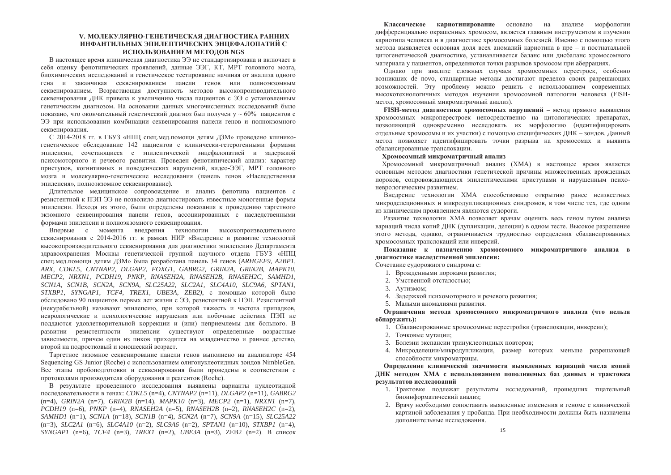### У. МОЛЕКУЛЯРНО-ГЕНЕТИЧЕСКАЯ ДИАГНОСТИКА РАННИХ **ИНФАНТИЛЬНЫХ ЭПИЛЕПТИЧЕСКИХ ЭНЦЕФАЛОПАТИЙ С** ИСПОЛЬЗОВАНИЕМ МЕТОЛОВ NGS

В настоящее время клиническая лиагностика ЭЭ не станлартизирована и включает в себя оценку фенотипических проявлений, данные ЭЭГ. КТ. МРТ головного мозга. биохимических исслелований и генетическое тестирование начиная от анализа одного гена и заканчивая секвенированием панели генов или полноэкзомным секвенированием. Возрастающая лоступность метолов высокопроизволительного секвенирования ЛНК привела к увеличению числа пациентов с ЭЭ с установленным генетическим лиагнозом. На основании ланных многочисленных исслелований было показано, что окончательный генетический лиагноз был получен  $v \sim 60\%$  пациентов с ЭЭ при использовании комбинации секвенирования панели генов и полнокзомного секвенирования.

С 2014-2018 ГГ. в ГБУЗ «НПЦ спецмедломощи детям ДЗМ» проведено клиникогенетическое обследование 142 пациентов с клинически-гетерогенными формами эпилепсии, сочетающиеся с эпилептической энцефалопатией и задержкой психомоторного и речевого развития. Проведен фенотипический анализ: характер приступов, когнитивных и поведенческих нарушений, видео-ЭЭГ, МРТ головного мозга и молекулярно-генетические исследования (панель генов «Наследственная эпилепсия», полноэкзомное секвенирование).

Длительное медицинское сопровождение и анализ фенотипа пациентов с резистентной к ПЭП ЭЭ не позволило диагностировать известные моногенные формы эпилепсии. Исходя из этого, были определены показания к проведению таргетного экзомного секвенирования панели генов, ассоциированных с наследственными формами эпилепсии и полноэкзомного секвенирования.

Впервые с момента внедрения технологии высокопроизводительного секвенирования с 2014-2016 гг. в рамках НИР «Внедрение и развитие технологий высокопроизводительного секвенирования для диагностики эпилепсии» Департамента здравоохранения Москвы генетической группой научного отдела ГБУЗ «НПЦ спец.мед.помощи детям ДЗМ» была разработана панель 34 генов (ARHGEF9, A2BP1, *ARX, CDKL5, CNTNAP2, DLGAP2, FOXG1, GABRG2, GRIN2A, GRIN2B, MAPK10, MECP2, NRXN1, PCDH19, PNKP, RNASEH2A, RNASEH2B, RNASEH2C, SAMHD1, SCN1A, SCN1B, SCN2A, SCN9A, SLC25A22, SLC2A1, SLC4A10, SLC9A6, SPTAN1, STXBP1, SYNGAP1, TCF4, TREX1, UBE3A, ZEB2)*, с помощью которой было обследовано 90 пациентов первых лет жизни с ЭЭ, резистентной к ПЭП. Резистентной (некурабельной) называют эпилепсию, при которой тяжесть и частота припадков, неврологические и психологические нарушения или побочные действия ПЭП не поддаются удовлетворительной коррекции и (или) неприемлемы для больного. В развитии резистентности эпилепсии существуют определенные возрастные зависимости, причем один из пиков приходится на младенчество и раннее детство, второй на подростковый и юношеский возраст.

Таргетное экзомное секвенирование панели генов выполнено на анализаторе 454 Sequencing GS Junior (Roche) с использованием олигонуклеотидных зондов NimbleGen. Все этапы пробоподготовки и секвенирования были проведены в соответствии с протоколами производителя оборудования и реагентов (Roche).

В результате проведенного исследования выявлены варианты нуклеотидной ɩɨɫɥɟɞɨɜɚɬɟɥɶɧɨɫɬɢ ɜ ɝɟɧɚɯ: *CDKL5* (n=4), *CNTNAP2* (n=11), *DLGAP2* (n=11), *GABRG2* (n=4), *GRIN2A* (n=7), *GRIN2B* (n=14), *MAPK10* (n=3), *MECP2* (n=1), *NRXN1* (n=7), *PCDH19* (n=6), *PNKP* (n=4), *RNASEH2A* (n=5), *RNASEH2B* (n=2), *RNASEH2C* (n=2), *SAMHD1* (n=1), *SCN1A* (n=18), *SCN1B* (n=4), *SCN2A* (n=7), *SCN9A* (n=15), *SLC25A22* (n=3), *SLC2A1* (n=6), *SLC4A10* (n=2), *SLC9A6* (n=2), *SPTAN1* (n=10), *STXBP1* (n=4),  $SYNGAPI$  (n=6),  $TCF4$  (n=3),  $TREX1$  (n=2),  $UBE3A$  (n=3),  $ZEB2$  (n=2). В список

Классическое кариотипирование основано на анализе морфологии дифференциально окрашенных хромосом, является главным инструментом в изучении кариотипа человека и в лиагностике хромосомных болезней. Именно с помошью этого метода выявляется основная доля всех аномалий кариотипа в пре - и постнатальной шитогенетической лиагностике, устанавливается баланс или лисбаланс хромосомного материала у пациентов, определяются точки разрывов хромосом при аберрациях.

Олнако при анализе сложных случаев хромосомных перестроек, особенно возникших de novo, стандартные методы достигают пределов своих разрешающих возможностей. Эту проблему можно решить с использованием современных высокотехнологичных метолов изучения хромосомной патологии человека (FISHметод, хромосомный микроматричный анализ).

 **FISH-метол лиагностики хромосомных нарушений – метол прямого выявления** хромосомных микроперестроек непосредственно на цитологических препаратах, позволяющий одновременно исследовать их морфологию (идентифицировать отдельные хромосомы и их участки) с помощью специфических ДНК - зондов. Данный метод позволяет идентифицировать точки разрыва на хромосомах и выявить сбалансированные транслокации.

 $X$ ромосомный микроматричный анализ

Хромосомный микроматричный анализ (XMA) в настоящее время является основным методом диагностики генетической причины множественных врожденных пороков, сопровождающихся эпилептическими приступами и нарушенным психоневрологическим развитием.

Внедрение технологии ХМА способствовало открытию ранее неизвестных микроделеционнных и микродупликационных синдромов, в том числе тех, где одним из клиническим проявлением являются судороги.

Развитие технологии ХМА позволяет врачам оценить весь геном путем анализа вариаций числа копий ДНК (дупликации, делеции) в одном тесте. Высокое разрешение этого метода, однако, ограничивается трудностью определения сбалансированных хромосомных транслокаций или инверсий.

Показание к назначению хромосомного микроматричного анализа в диагностике наследственной эпилепсии:

Сочетание судорожного синдрома с:

- 1. Врожденными пороками развития;
- 2. Умственной отсталостью;
- 3. АУТИЗМОМ:
- 4. Задержкой психомоторного и речевого развития;
- 5. Малыми аномалиями развития.

Ограничения метода хромосомного микроматричного анализа (что нельзя **обнаружить):** 

- 1. Сбалансированные хромосомные перестройки (транслокации, инверсии);
- 2. Точковые мутации;
- 3. Болезни экспансии тринуклеотидных повторов;
- 4. Микроделеции/микродупликации, размер которых меньше разрешающей способности микроматрицы.

Определение клинической значимости выявленных вариаций числа копий ДНК методом ХМА с использованием пополняемых баз данных и трактовка **результатов исследований** 

- 1. Трактовке подлежат результаты исследований, прошедших тщательный биоинформатический анализ;
- 2. Врачу необходимо сопоставить выявленные изменения в геноме с клинической картиной заболевания у пробанда. При необходимости должны быть назначены иополнительные исследования.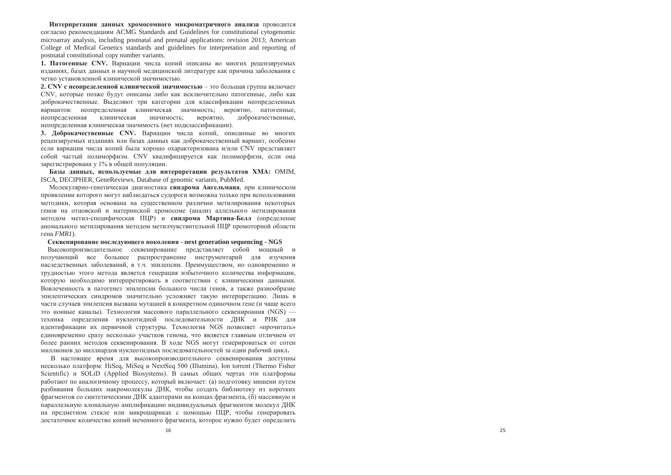Интерпретация данных хромосомного микроматричного анализа проводится согласно рекомендациям ACMG Standards and Guidelines for constitutional cytogenomic microarray analysis, including postnatal and prenatal applications: revision 2013; American College of Medical Genetics standards and guidelines for interpretation and reporting of postnatal constitutional copy number variants.

**1. Патогенные CNV.** Вариации числа копий описаны во многих рецензируемых изданиях, базах данных и научной медицинской литературе как причина заболевания с четко установленной клинической значимостью.

2. CNV с неопределенной клинической значимостью – это большая группа включает CNV, которые позже булут описаны либо как исключительно патогенные, либо как доброкачественные. Выделяют три категории для классификации неопределенных вариантов: неопределенная клиническая значимость; вероятно, патогенные, неопределенная клиническая значимость; вероятно, доброкачественные, неопределенная клиническая значимость (нет подклассификации).

3. Доброкачественные CNV. Вариации числа копий, описанные во многих рецензируемых изданиях или базах данных как доброкачественный вариант, особенно если вариация числа копий была хорошо охарактеризована и/или CNV представляет собой частый полиморфизм. CNV квалифицируется как полиморфизм, если она зарегистрирована у 1% в общей популяции.

Базы данных, используемые для интерпретации результатов ХМА: ОМІМ, ISCA, DECIPHER, GeneReviews, Database of genomic variants, PubMed.

Молекулярно-генетическая диагностика синдрома Ангельмана, при клиническом проявлении которого могут наблюдаться судороги возможна только при использовании методики, которая основана на существенном различии метилирования некоторых генов на отцовской и материнской хромосоме (анализ аллельного метилирования методом метил-специфическая ПЦР) и синдрома Мартина-Белл (определение аномального метилирования методом метилчувствительной ПЦР промоторной области гена *FMR1*).

#### **ɋɟɤɜɟɧɢɪɨɜɚɧɢɟ ɩɨɫɥɟɞɭɸɳɟɝɨ ɩɨɤɨɥɟɧɢɹ - next generation sequencing - NGS**

Высокопроизводительное секвенирование представляет собой мощный и получающий все большее распространение инструментарий для изучения наследственных заболеваний, в т.ч. эпилепсии. Преимуществом, но одновременно и трудностью этого метода является генерация избыточного количества информации, которую необходимо интерпретировать в соответствии с клиническими данными. Вовлеченность в патогенез эпилепсии большого числа генов, а также разнообразие эпилептических синдромов значительно усложняет такую интерпретацию. Лишь в части случаев эпилепсия вызвана мутацией в конкретном одиночном гене (и чаще всего это ионные каналы). Технология массового параллельного секвенироания (NGS) техника определения нуклеотидной последовательности ДНК и РНК для идентификации их первичной структуры. Технология NGS позволяет «прочитать» единовременно сразу несколько участков генома, что является главным отличием от более ранних методов секвенирования. В ходе NGS могут генерироваться от сотен миллионов до миллиардов нуклеотидных последовательностей за один рабочий цикл.

В настоящее время для высокопроизводительного секвенирования доступны несколько платформ: HiSeq, MiSeq и NextSeq 500 (Illumina), Ion torrent (Thermo Fisher Scientific) и SOLiD (Applied Biosystems). В самых общих чертах эти платформы работают по аналогичному процессу, который включает: (а) подготовку мишени путем разбивания больших макромолекулы ДНК, чтобы создать библиотеку из коротких фрагментов со синтетическими ДНК адаптерами на концах фрагмента, (б) массивную и параллельную клональную амплификацию индивидуальных фрагментов молекул ДНК на предметном стекле или микрошариках с помощью ПЦР, чтобы генерировать достаточное количество копий меченного фрагмента, которое нужно будет определить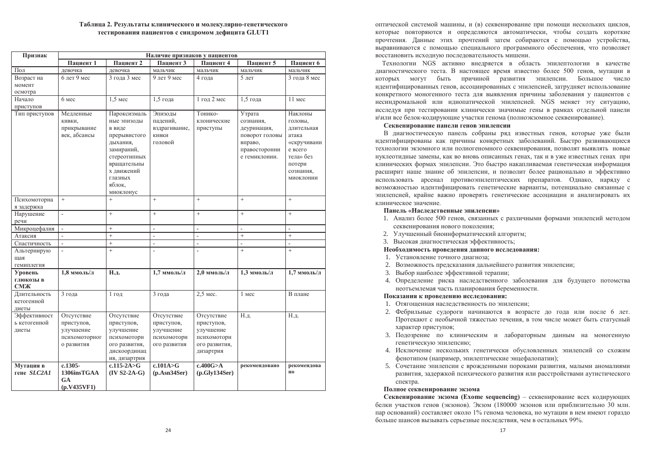### Таблица 2. Результаты клинического и молекулярно-генетического **ɬɟɫɬɢɪɨɜɚɧɢɹ ɩɚɰɢɟɧɬɨɜ ɫ ɫɢɧɞɪɨɦɨɦ ɞɟɮɢɰɢɬɚ GLUT1**

| Признак                               | Наличие признаков у пациентов                                        |                                                                                                                                                                |                                                                      |                                                                                    |                                                                                                   |                                                                                                                      |  |  |  |
|---------------------------------------|----------------------------------------------------------------------|----------------------------------------------------------------------------------------------------------------------------------------------------------------|----------------------------------------------------------------------|------------------------------------------------------------------------------------|---------------------------------------------------------------------------------------------------|----------------------------------------------------------------------------------------------------------------------|--|--|--|
|                                       | Пациент 1                                                            | Пациент 2                                                                                                                                                      | Пациент 3                                                            | Пациент 4                                                                          | Пациент 5                                                                                         | Пациент 6                                                                                                            |  |  |  |
| Пол                                   | левочка                                                              | левочка                                                                                                                                                        | мальчик                                                              | мальчик                                                                            | мальчик                                                                                           | мальчик                                                                                                              |  |  |  |
| Возраст на                            | 6 лет 9 мес                                                          | 3 года 3 мес                                                                                                                                                   | 9 лет 9 мес                                                          | 4 года                                                                             | 5 <sub>gt</sub>                                                                                   | 3 года 8 мес                                                                                                         |  |  |  |
| момент                                |                                                                      |                                                                                                                                                                |                                                                      |                                                                                    |                                                                                                   |                                                                                                                      |  |  |  |
| осмотра                               |                                                                      |                                                                                                                                                                |                                                                      |                                                                                    |                                                                                                   |                                                                                                                      |  |  |  |
| Начало                                | 6 мес                                                                | $1.5$ Mec                                                                                                                                                      | 1,5 года                                                             | 1 год 2 мес                                                                        | $1.5$ гола                                                                                        | 11 Mec                                                                                                               |  |  |  |
| приступов                             |                                                                      |                                                                                                                                                                |                                                                      |                                                                                    |                                                                                                   |                                                                                                                      |  |  |  |
| Тип приступов                         | Медленные<br>кивки,<br>прикрывание<br>век, абсансы                   | Пароксизмаль<br>ные эпизоды<br>в виде<br>прерывистого<br>дыхания,<br>замираний,<br>стереотипных<br>вращательны<br>х движений<br>глазных<br>яблок,<br>миоклонус | Эпизоды<br>падений,<br>вздрагивание,<br>кивки<br>головой             | Тонико-<br>клонические<br>приступы                                                 | Утрата<br>сознания,<br>деуринация,<br>поворот головы<br>вправо,<br>правосторонни<br>е гемиклонии. | Наклоны<br>головы.<br>длительная<br>атака<br>«скручивани<br>е всего<br>тела» без<br>потери<br>сознания,<br>миоклонии |  |  |  |
| Психомоторна<br>я задержка            | $+$                                                                  | $+$                                                                                                                                                            | $+$                                                                  | $^{+}$                                                                             | $+$                                                                                               | $+$                                                                                                                  |  |  |  |
| Нарушение<br>речи                     | $\overline{a}$                                                       | $+$                                                                                                                                                            | $+$                                                                  | $\ddot{}$                                                                          | $\ddot{}$                                                                                         | $+$                                                                                                                  |  |  |  |
| Микроцефалия                          | $\overline{\phantom{a}}$                                             | $\ddot{}$                                                                                                                                                      | $\frac{1}{2}$                                                        | $\overline{\phantom{a}}$                                                           | $\overline{a}$                                                                                    | $\overline{\phantom{0}}$                                                                                             |  |  |  |
| Атаксия                               | $\overline{a}$                                                       |                                                                                                                                                                | $\overline{a}$                                                       | $\overline{\phantom{a}}$                                                           | $^{+}$                                                                                            | $\! +$                                                                                                               |  |  |  |
| Спастичность                          | $\frac{1}{2}$                                                        | $\ddot{}$                                                                                                                                                      | $\overline{a}$                                                       | $\overline{a}$                                                                     | $\overline{a}$                                                                                    | $\overline{a}$                                                                                                       |  |  |  |
| Альтернирую                           | $\overline{a}$                                                       | $\ddot{}$                                                                                                                                                      | $\overline{a}$                                                       | $\overline{a}$                                                                     | $\ddot{}$                                                                                         | $+$                                                                                                                  |  |  |  |
| шая                                   |                                                                      |                                                                                                                                                                |                                                                      |                                                                                    |                                                                                                   |                                                                                                                      |  |  |  |
| гемиплегия                            |                                                                      |                                                                                                                                                                |                                                                      |                                                                                    |                                                                                                   |                                                                                                                      |  |  |  |
| Уровень                               | 1,8 ммоль/л                                                          | Н.д.                                                                                                                                                           | 1,7 ммоль/л                                                          | 2,0 ммоль/л                                                                        | 1,3 ммоль/л                                                                                       | 1,7 ммоль/л                                                                                                          |  |  |  |
| глюкозы в<br><b>CMK</b>               |                                                                      |                                                                                                                                                                |                                                                      |                                                                                    |                                                                                                   |                                                                                                                      |  |  |  |
| Длительность<br>кетогенной<br>диеты   | 3 года                                                               | $1$ год                                                                                                                                                        | 3 года                                                               | 2,5 мес.                                                                           | 1 Mec                                                                                             | В плане                                                                                                              |  |  |  |
| Эффективност<br>ь кетогенной<br>диеты | Отсутствие<br>приступов,<br>улучшение<br>психомоторног<br>о развития | Отсутствие<br>приступов,<br>улучшение<br>психомоторн<br>ого развития,<br>дискоординац<br>ия, дизартрия                                                         | Отсутствие<br>приступов,<br>улучшение<br>психомоторн<br>ого развития | Отсутствие<br>приступов,<br>улучшение<br>психомоторн<br>ого развития,<br>дизартрия | Н.л.                                                                                              | Н.л.                                                                                                                 |  |  |  |
| Мутация в<br>гене SLC2A1              | $c.1305-$<br>1306insTGAA<br>GA<br>(n.V435VF1)                        | c.115-2A>G<br>$(IV S2-2A-G)$                                                                                                                                   | c.101A>G<br>(p. Asn34Ser)                                            | c.400G>A<br>(p.Gly134Ser)                                                          | рекомендовано                                                                                     | рекомендова<br><b>HO</b>                                                                                             |  |  |  |

оптической системой машины, и (в) секвенирование при помоши нескольких циклов. которые повторяются и определяются автоматически, чтобы создать короткие прочтения. Данные этих прочтений затем собираются с помошью устройства. выравниваются с помошью специального программного обеспечения, что позволяет восстановить исходную последовательность мишени.

Технологии NGS активно внедряется в область эпилептологии в качестве диагностического теста. В настоящее время известно более 500 генов, мутации в которых могут быть причиной развития эпилепсии. Большое число илентифицированных генов, ассоциированных с эпилепсией, затрудняет использование конкретного моногенного теста лля выявления причины заболевания у пациентов с несиндромальной или идиопатической эпилепсией. NGS меняет эту ситуацию, исслелуя при тестировании клинически значимые гены в рамках отлельной панели и\или все белок-кодирующие участки генома (полноэкзомное секвенирование).

### Секвенирование панели генов эпилепсии

В диагностическую панель собраны ряд известных генов, которые уже были идентифицированы как причины конкретных заболеваний. Быстро развивающиеся технологии экзомного или полногеномного секвенирования, позволят выявлять новые нуклеотидные замены, как во вновь описанных генах, так и в уже известных генах при клинических формах эпилепсии. Это быстро накапливаемая генетическая информация расширит наше знание об эпилепсии, и позволит более рационально и эффективно использовать арсенал противоэпилептических препаратов. Однако, наряду с возможностью идентифицировать генетические варианты, потенциально связанные с эпилепсией, крайне важно проверять генетические ассоциации и анализировать их клиническое значение.

### **ɉɚɧɟɥɶ «ɇɚɫɥɟɞɫɬɜɟɧɧɵɟ ɷɩɢɥɟɩɫɢɢ»**

- 1. Анализ более 500 генов, связанных с различными формами эпилепсий методом секвенирования нового поколения;
- 2. Улучшенный биоинформатический алгоритм;
- 3. Высокая диагностическая эффективность;

#### Необходимость проведения данного исследования:

- 1. Установление точного диагноза;
- 2. Возможность предсказания дальнейшего развития эпилепсии;
- 3. Выбор наиболее эффективной терапии;
- 4. Определение риска наследственного заболевания для будущего потомства неотъемлемая часть планирования беременности.

### Показания к проведению исследования:

- 1. Отягощенная наследственность по эпилепсии;
- 2. Фебрильные судороги начинаются в возрасте до года или после 6 лет. Протекают с необычной тяжестью течения, в том числе может быть статусный характер приступов;
- 3. Подозрение по клиническим и лабораторным данным на моногенную генетическую эпилепсию;
- 4. Исключение нескольких генетически обусловленных эпилепсий со схожим фенотипом (например, эпилептические энцефалопатии);
- 5. Сочетание эпилепсии с врожденными пороками развития, малыми аномалиями развития, задержкой психического развития или расстройствами аутистического спектра.

### Полное секвенирование экзома

**Секвенирование экзома (Exome sequencing) – секвенирование всех кодирующих** белки участков генов (экзонов). Экзом (180000 экзонов или приблизительно 30 млн. пар оснований) составляет около 1% генома человека, но мутации в нем имеют гораздо больше шансов вызывать серьезные последствия, чем в остальных 99%.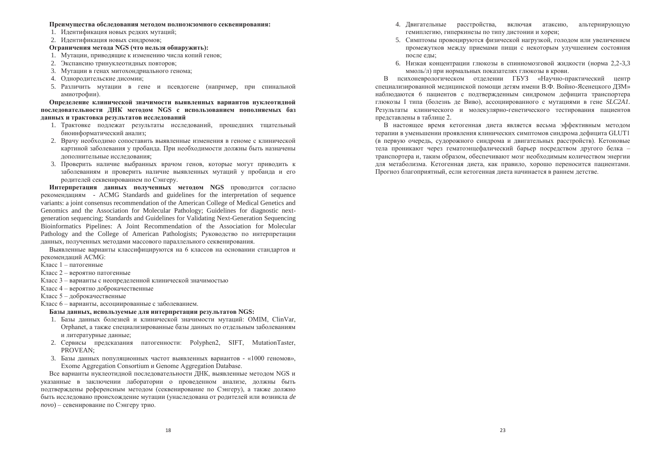#### Преимущества обследования методом полноэкзомного секвенирования:

- 1. Илентификация новых редких мутаций:
- 2. Илентификация новых синдромов:

### Ограничения метода NGS (что нельзя обнаружить):

- 1. Мутации, приводящие к изменению числа копий генов:
- 2. Экспансию тринуклеотидных повторов;
- 3. Мутации в генах митохондриального генома:
- 4. Однородительские дисомии:
- 5. Различить мутации в гене и псевлогене (например, при спинальной амиотрофии).

Определение клинической значимости выявленных вариантов нуклеотидной ПОСЛЕДОВАТЕЛЬНОСТИ ДНК МЕТОДОМ NGS с использованием пополняемых баз данных и трактовка результатов исследований

- 1. Трактовке подлежат результаты исследований, прошедших тщательный биоинформатический анализ;
- 2. Врачу необходимо сопоставить выявленные изменения в геноме с клинической картиной заболевания у пробанда. При необходимости должны быть назначены иополнительные исследования:
- 3. Проверить наличие выбранных врачом генов, которые могут приводить к заболеваниям и проверить наличие выявленных мутаций у пробанда и его родителей секвенированием по Сэнгеру.

Интерпретация данных полученных методом NGS проводится согласно рекомендациям - ACMG Standards and guidelines for the interpretation of sequence variants: a joint consensus recommendation of the American College of Medical Genetics and Genomics and the Association for Molecular Pathology; Guidelines for diagnostic nextgeneration sequencing; Standards and Guidelines for Validating Next-Generation Sequencing Bioinformatics Pipelines: A Joint Recommendation of the Association for Molecular Pathology and the College of American Pathologists; Руководство по интерпретации данных, полученных методами массового параллельного секвенирования.

Выявленные варианты классифицируются на 6 классов на основании стандартов и рекомендаций ACMG:

- Kласс 1 патогенные
- Класс 2 вероятно патогенные
- Класс 3 варианты с неопределенной клинической значимостью
- Класс 4 вероятно доброкачественные
- Класс 5 доброкачественные
- Класс 6 варианты, ассоциированные с заболеванием.

### **Ȼɚɡɵ ɞɚɧɧɵɯ, ɢɫɩɨɥɶɡɭɟɦɵɟ ɞɥɹ ɢɧɬɟɪɩɪɟɬɚɰɢɢ ɪɟɡɭɥɶɬɚɬɨɜ NGS:**

- 1. Базы данных болезней и клинической значимости мутаций: ОМІМ, ClinVar, Orphanet, а также специализированные базы данных по отдельным заболеваниям и литературные данные;
- 2. Сервисы предсказания патогенности: Polyphen2, SIFT, MutationTaster, PROVEAN;
- 3. Базы данных популяционных частот выявленных вариантов «1000 геномов», Exome Aggregation Consortium  $\mu$  Genome Aggregation Database.

Все варианты нуклеотидной последовательности ДНК, выявленные методом NGS и указанные в заключении лаборатории о проведенном анализе, должны быть подтверждены референсным методом (секвенирование по Сэнгеру), а также должно быть исследовано происхождение мутации (унаследована от родителей или возникла de *novo*) – севенирование по Сэнгеру трио.

- 4. Лвигательные расстройства, включая атаксию, альтернирующую гемиплегию, гиперкинезы по типу дистонии и хореи:
- 5. Симптомы провошируются физической нагрузкой, голодом или увеличением промежутков между приемами пиши с некоторым улучшением состояния после елы:
- 6. Низкая концентрации глюкозы в спинномозговой жилкости (норма 2.2-3,3 ммоль/л) при нормальных показателях глюкозы в крови.

В психоневрологическом отделении ГБУЗ «Научно-практический центр специализированной мелицинской помощи летям имени В.Ф. Войно-Ясенецкого ДЗМ» наблюдаются 6 пациентов с подтвержденным синдромом дефицита транспортера глюкозы I типа (болезнь ле Виво), ассоциированного с мутациями в гене *SLC2A1*. Результаты клинического и молекулярно-генетического тестирования пациентов представлены в таблице 2.

В настоящее время кетогенная диета является весьма эффективным методом терапии в уменьшении проявления клинических симптомов синдрома дефицита GLUT1 (в первую очередь, судорожного синдрома и двигательных расстройств). Кетоновые тела проникают через гематоэнцефалический барьер посредством другого белка транспортера и, таким образом, обеспечивают мозг необходимым количеством энергии для метаболизма. Кетогенная диета, как правило, хорошо переносится пациентами. Прогноз благоприятный, если кетогенная диета начинается в раннем детстве.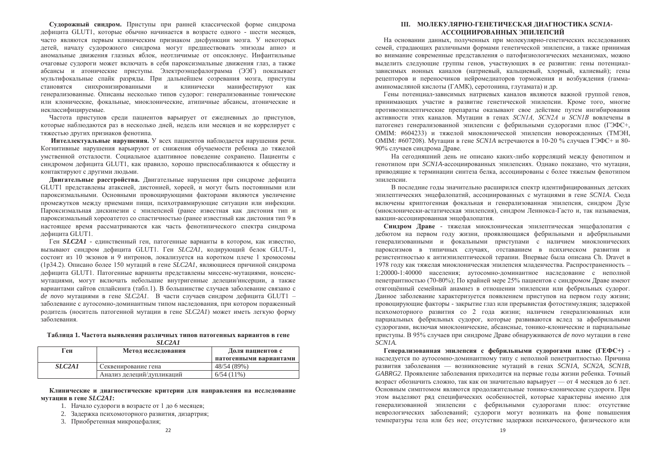Сулорожный синдром. Приступы при ранней классической форме синдрома лефицита GLUT1, которые обычно начинается в возрасте одного - шести месяцев. часто являются первым клиническим признаком лисфункции мозга. У некоторых детей, началу судорожного синдрома могут предшествовать эпизоды апноэ и аномальные лвижения глазных яблок, неотличимые от опсоклонус. Инфантильные  $\alpha$ чаговые сулороги может включать в себя пароксизмальные лвижения глаз а также абсансы и атонические приступы. Электроэнцефалограмма (ЭЭГ) показывает мультифокальные спайк разрялы. При дальнейшем созревания мозга, приступы становятся синхронизированными и клинически манифестируют как генерализованные. Описаны несколько типов судорог: генерализованные тонические или клонические, фокальные, миоклонические, атипичные абсансы, атонические и неклассифицируемые.

Частота приступов среди пациентов варьирует от ежедневных до приступов, которые наблюдаются раз в несколько дней, недель или месяцев и не коррелирует с тяжестью других признаков фенотипа.

**Интеллектуальные нарушения.** У всех пациентов наблюдается нарушения речи. Когнитивные нарушения варьируют от снижения обучаемости ребенка до тяжелой умственной отсталости. Социальное алаптивное повеление сохранено. Пациенты с синдромом дефицита GLUT1, как правило, хорошо приспосабливаются к обществу и контактируют с другими людьми.

Двигательные расстройства. Двигательные нарушения при синдроме дефицита GLUT1 представлены атаксией, дистонией, хореей, и могут быть постоянными или пароксизмальными. Основными провоцирующими факторами являются увеличение промежутков между приемами пищи, психотравмирующие ситуации или инфекции. Пароксизмальная дискинезии с эпилепсией (ранее известная как дистония тип и пароксизмальный хореоатетоз со спастичностью (ранее известный как дистония тип 9 в настоящее время рассматриваются как часть фенотипического спектра синдрома дефицита GLUT1.

Ген **SLC2A1** - единственный ген, патогенные варианты в котором, как известно, вызывают синдром дефицита GLUT1. Ген *SLC2A1*, кодирующий белок GLUT-1, состоит из 10 экзонов и 9 интронов, локализуется на коротком плече 1 хромосомы  $(1p34.2)$ . Описано более 150 мутаций в гене *SLC2A1*, являющиеся причиной синдрома дефицита GLUT1. Патогенные варианты представлены миссенс-мутациями, нонсенсмутациями, могут включать небольшие внутригенные делеции/инсерции, а также вариантами сайтов сплайсинга (табл.1). В большинстве случаев заболевание связано с *de novo* мутациями в гене *SLC2A1*. В части случаев синдром дефицита GLUT1 – заболевание с аутосомно-доминантным типом наследования, при котором пораженный родитель (носитель патогенной мутации в гене SLC2A1) может иметь легкую форму заболевания.

#### Таблица 1. Частота выявления различных типов патогенных вариантов в гене *SLC2A1*

| Ген                             | Метод исследования        | Доля пациентов с       |
|---------------------------------|---------------------------|------------------------|
|                                 |                           | патогенными вариантами |
| SLC <sub>2</sub> A <sub>1</sub> | Секвенирование гена       | 48/54 (89%)            |
|                                 | Анализ делеций/дупликаций | $6/54(11\%)$           |

### Клинические и диагностические критерии для направления на исследование **ɦɭɬɚɰɢɢ ɜ ɝɟɧɟ** *SLC2A1***:**

- 1. Начало судороги в возрасте от 1 до 6 месяцев;
- 2. Задержка психомоторного развития, дизартрия:
- 3. Приобретенная микроцефалия:

### **III. ɆɈɅȿɄɍɅəɊɇɈ-ȽȿɇȿɌɂɑȿɋɄȺə ȾɂȺȽɇɈɋɌɂɄȺ** *SCN1A***-МАССОЦИИРОВАННЫХ ЭПИЛЕПСИЙ**

На основании данных, полученных при молекулярно-генетических исследованиях семей стралаюших различными формами генетической эпилепсии, а также принимая во внимание современные представления о патофизиологических механизмах, можно выделить следующие группы генов, участвующих в ее развитии: гены потенциалзависимых ионных каналов (натриевый, кальциевый, хлорный, калиевый); гены рецепторов и переносчиков нейромелиаторов торможения и возбуждения (гаммааминомасляной кислоты (ГАМК), серотонина, глутамата) и др.

Гены потенциал-зависимых натриевых каналов являются важной группой генов. принимающих участие в развитие генетической эпилепсии. Кроме того, многие противоэпилептические препараты оказывают свое лействие путем ингибирования активности этих каналов. Мутации в генах *SCN1A, SCN2A и SCN1B* вовлечены в патогенез генерализованной эпилепсии с фебрильными судорогами плюс (ГЭФС+, ОМІМ: #604233) и тяжелой миоклонической эпилепсии новорожленных (ТМЭН. OMIM: #607208). Мутации в гене *SCN1A* встречаются в 10-20 % случаев ГЭФС+ и 80-90% случаев синдрома Драве.

На сеголняшний лень не описано каких-либо корреляций между фенотипом и генотипом при *SCN1A*-ассоциированных эпилепсиях. Однако показано, что мутации, приводящие к терминации синтеза белка, ассоциированы с более тяжелым фенотипом эпилепсии.

В последние годы значительно расширился спектр идентифицированных детских эпилептических энцефалопатий, ассоциированных с мутациями в гене *SCN1A*. Сюда включены криптогенная фокальная и генерализованная эпилепсия, синдром Дузе (миоклонически-астатическая эпилепсия), синдром Леннокса-Гасто и, так называемая, вакцин-ассоциированная энцефалопатия.

Синдром Драве - тяжелая миоклоническая эпилептическая энцефалопатия с дебютом на первом году жизни, проявляющаяся фебрильными и афебрильными генерализованными и фокальными приступами с наличием миоклонических пароксизмов в типичных случаях, отставанием в психическом развитии и резистентностью к антиэпилептической терапии. Впервые была описана Ch. Dravet в 1978 году как тяжелая миоклоническая эпилепсия младенчества. Распространенность – 1:20000-1:40000 населения; аутосомно-доминантное наследование с неполной пенетрантностью (70-80%); По крайней мере 25% пациентов с синдромом Драве имеют отягощённый семейный анамнез в отношении эпилепсии или фебрильных судорог. Данное заболевание характеризуется появлением приступов на первом году жизни; провоцирующие факторы - закрытие глаз или прерывистая фотостимуляция; задержкой психомоторного развития со 2 года жизни; наличием генерализованных или парциальных фебрильных судорог, которые развиваются вслед за афебрильными судорогами, включая миоклонические, абсансные, тонико-клонические и парциальные приступы. В 95% случаев при синдроме Драве обнаруживаются *de novo* мутации в гене *SCN1A.*

 $\Gamma$ енерализованная эпилепсия с фебрильными судорогами плюс ( $\Gamma$ ЕФС+) наследуется по аутосомно-доминантному типу с неполной пенетрантностью. Причина развития заболевания — возникновение мутаций в генах *SCN1A, SCN2A, SCN1B*, GABRG2. Проявление заболевания приходится на первые годы жизни ребенка. Точный возраст обозначить сложно, так как он значительно варьирует — от 4 месяцев до 6 лет. Основным симптомом являются продолжительные тонико-клонические судороги. При этом выделяют ряд специфических особенностей, которые характерны именно для генерализованной эпилепсии с фебрильными судорогами плюс: отсутствие неврологических заболеваний; судороги могут возникать на фоне повышения температуры тела или без нее; отсутствие задержки психического, физического или